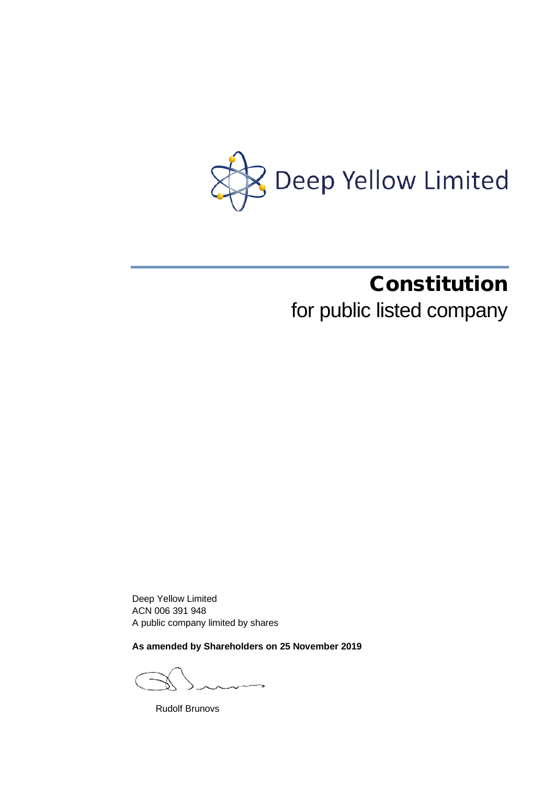

# Constitution

for public listed company

Deep Yellow Limited ACN 006 391 948 A public company limited by shares

**As amended by Shareholders on 25 November 2019**

Rudolf Brunovs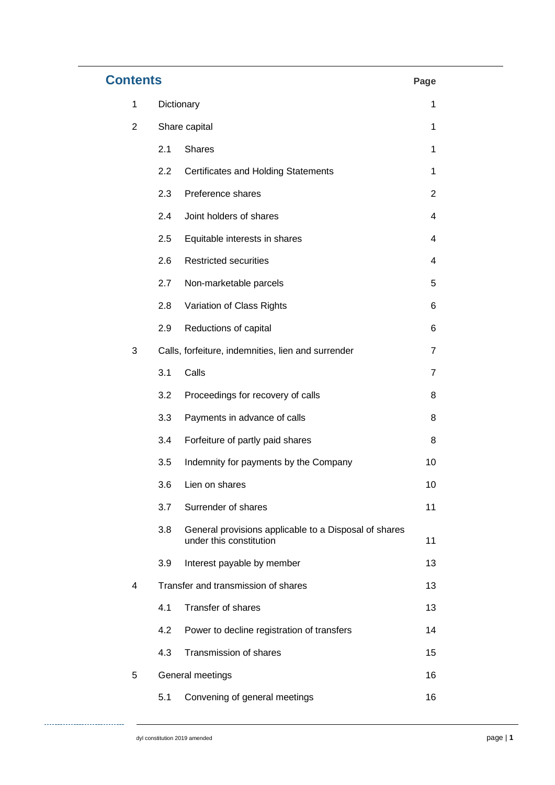| <b>Contents</b> |                  |                                                                                  |                |  |
|-----------------|------------------|----------------------------------------------------------------------------------|----------------|--|
| 1               | Dictionary       |                                                                                  |                |  |
| $\overline{2}$  | Share capital    |                                                                                  | 1              |  |
|                 | 2.1              | <b>Shares</b>                                                                    | 1              |  |
|                 | 2.2              | <b>Certificates and Holding Statements</b>                                       | 1              |  |
|                 | 2.3              | Preference shares                                                                | $\overline{2}$ |  |
|                 | 2.4              | Joint holders of shares                                                          | 4              |  |
|                 | 2.5              | Equitable interests in shares                                                    | 4              |  |
|                 | 2.6              | <b>Restricted securities</b>                                                     | 4              |  |
|                 | 2.7              | Non-marketable parcels                                                           | 5              |  |
|                 | 2.8              | Variation of Class Rights                                                        | 6              |  |
|                 | 2.9              | Reductions of capital                                                            | 6              |  |
| 3               |                  | Calls, forfeiture, indemnities, lien and surrender                               | $\overline{7}$ |  |
|                 | 3.1              | Calls                                                                            | $\overline{7}$ |  |
|                 | 3.2              | Proceedings for recovery of calls                                                | 8              |  |
|                 | 3.3              | Payments in advance of calls                                                     | 8              |  |
|                 | 3.4              | Forfeiture of partly paid shares                                                 | 8              |  |
|                 | 3.5              | Indemnity for payments by the Company                                            | 10             |  |
|                 | 3.6              | Lien on shares                                                                   | 10             |  |
|                 | 3.7              | Surrender of shares                                                              | 11             |  |
|                 | 3.8              | General provisions applicable to a Disposal of shares<br>under this constitution | 11             |  |
|                 | 3.9              | Interest payable by member                                                       | 13             |  |
| 4               |                  | Transfer and transmission of shares                                              | 13             |  |
|                 | 4.1              | Transfer of shares                                                               | 13             |  |
|                 | 4.2              | Power to decline registration of transfers                                       | 14             |  |
|                 | 4.3              | Transmission of shares                                                           | 15             |  |
| 5               | General meetings |                                                                                  |                |  |
|                 | 5.1              | Convening of general meetings                                                    | 16             |  |

. . . . . . . . . . . . .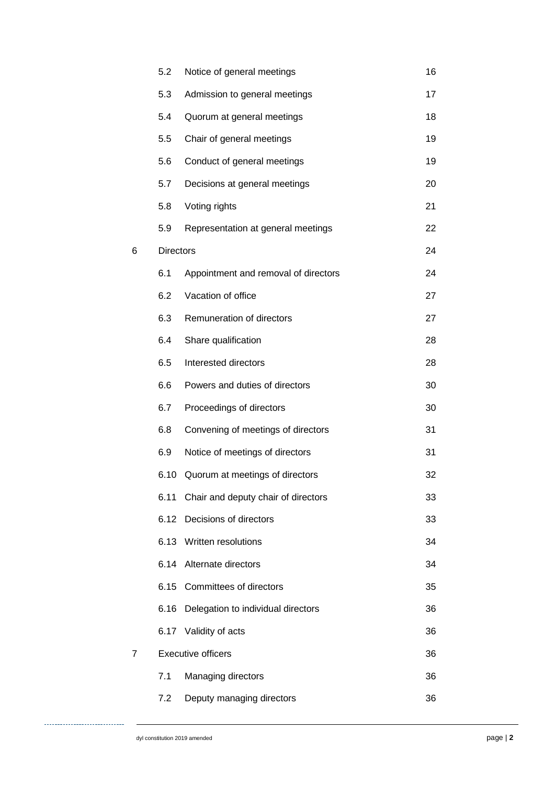|   | 5.2              | Notice of general meetings           | 16 |
|---|------------------|--------------------------------------|----|
|   | 5.3              | Admission to general meetings        | 17 |
|   | 5.4              | Quorum at general meetings           | 18 |
|   | 5.5              | Chair of general meetings            | 19 |
|   | 5.6              | Conduct of general meetings          | 19 |
|   | 5.7              | Decisions at general meetings        | 20 |
|   | 5.8              | Voting rights                        | 21 |
|   | 5.9              | Representation at general meetings   | 22 |
| 6 | <b>Directors</b> |                                      |    |
|   | 6.1              | Appointment and removal of directors | 24 |
|   | 6.2              | Vacation of office                   | 27 |
|   | 6.3              | Remuneration of directors            | 27 |
|   | 6.4              | Share qualification                  | 28 |
|   | 6.5              | Interested directors                 | 28 |
|   | 6.6              | Powers and duties of directors       | 30 |
|   | 6.7              | Proceedings of directors             | 30 |
|   | 6.8              | Convening of meetings of directors   | 31 |
|   | 6.9              | Notice of meetings of directors      | 31 |
|   | 6.10             | Quorum at meetings of directors      | 32 |
|   | 6.11             | Chair and deputy chair of directors  | 33 |
|   | 6.12             | Decisions of directors               | 33 |
|   | 6.13             | Written resolutions                  | 34 |
|   | 6.14             | Alternate directors                  | 34 |
|   | 6.15             | Committees of directors              | 35 |
|   | 6.16             | Delegation to individual directors   | 36 |
|   | 6.17             | Validity of acts                     | 36 |
| 7 |                  | <b>Executive officers</b>            | 36 |
|   | 7.1              | Managing directors                   | 36 |
|   | 7.2              | Deputy managing directors            | 36 |

. . . . . . . . . . . . . .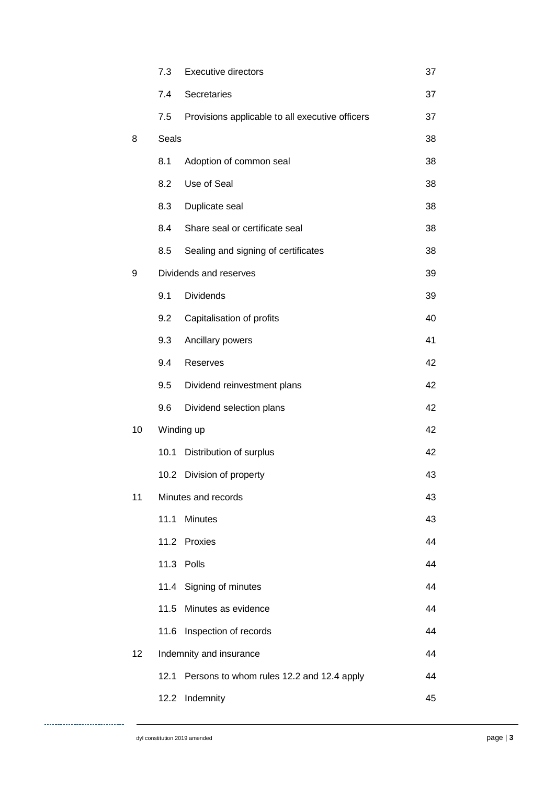|    | 7.3        | <b>Executive directors</b>                      | 37 |
|----|------------|-------------------------------------------------|----|
|    | 7.4        | Secretaries                                     | 37 |
|    | 7.5        | Provisions applicable to all executive officers | 37 |
| 8  | Seals      |                                                 | 38 |
|    | 8.1        | Adoption of common seal                         | 38 |
|    | 8.2        | Use of Seal                                     | 38 |
|    | 8.3        | Duplicate seal                                  | 38 |
|    | 8.4        | Share seal or certificate seal                  | 38 |
|    | 8.5        | Sealing and signing of certificates             | 38 |
| 9  |            | Dividends and reserves                          | 39 |
|    | 9.1        | <b>Dividends</b>                                | 39 |
|    | 9.2        | Capitalisation of profits                       | 40 |
|    | 9.3        | Ancillary powers                                | 41 |
|    | 9.4        | Reserves                                        | 42 |
|    | 9.5        | Dividend reinvestment plans                     | 42 |
|    | 9.6        | Dividend selection plans                        | 42 |
| 10 | Winding up |                                                 | 42 |
|    | 10.1       | Distribution of surplus                         | 42 |
|    |            | 10.2 Division of property                       | 43 |
| 11 |            | Minutes and records                             |    |
|    | 11.1       | <b>Minutes</b>                                  | 43 |
|    | 11.2       | Proxies                                         | 44 |
|    | 11.3       | Polls                                           | 44 |
|    | 11.4       | Signing of minutes                              | 44 |
|    | 11.5       | Minutes as evidence                             | 44 |
|    | 11.6       | Inspection of records                           | 44 |
| 12 |            | Indemnity and insurance                         | 44 |
|    | 12.1       | Persons to whom rules 12.2 and 12.4 apply       | 44 |
|    | 12.2       | Indemnity                                       | 45 |

. . . . . . . . . . . . . . . . . . .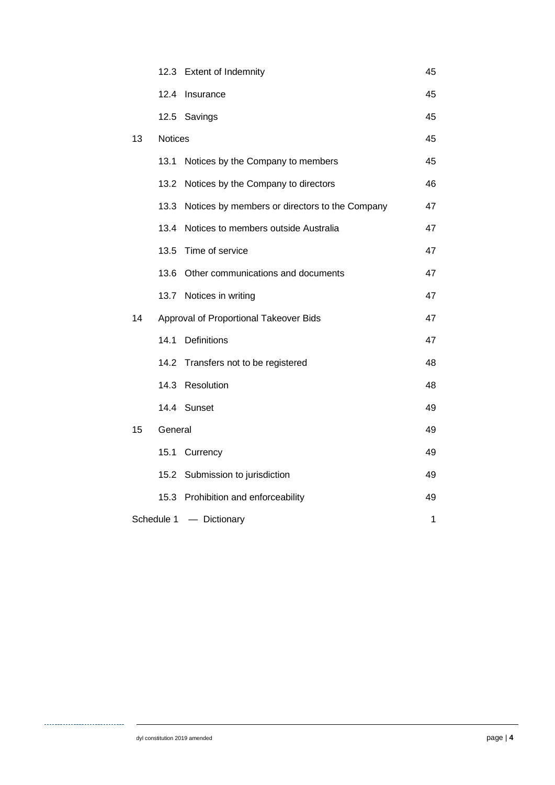|    |                                        | 12.3 Extent of Indemnity                       | 45 |
|----|----------------------------------------|------------------------------------------------|----|
|    | 12.4                                   | Insurance                                      | 45 |
|    |                                        | 12.5 Savings                                   | 45 |
| 13 | <b>Notices</b>                         |                                                | 45 |
|    | 13.1                                   | Notices by the Company to members              | 45 |
|    | 13.2                                   | Notices by the Company to directors            | 46 |
|    | 13.3                                   | Notices by members or directors to the Company | 47 |
|    | 13.4                                   | Notices to members outside Australia           | 47 |
|    | 13.5                                   | Time of service                                | 47 |
|    | 13.6                                   | Other communications and documents             | 47 |
|    |                                        | 13.7 Notices in writing                        | 47 |
| 14 | Approval of Proportional Takeover Bids |                                                | 47 |
|    | 14.1                                   | Definitions                                    | 47 |
|    | 14.2                                   | Transfers not to be registered                 | 48 |
|    | 14.3                                   | Resolution                                     | 48 |
|    |                                        | 14.4 Sunset                                    | 49 |
| 15 | General                                |                                                | 49 |
|    | 15.1                                   | Currency                                       | 49 |
|    |                                        | 15.2 Submission to jurisdiction                | 49 |
|    | 15.3                                   | Prohibition and enforceability                 | 49 |
|    | Schedule 1                             | - Dictionary                                   | 1  |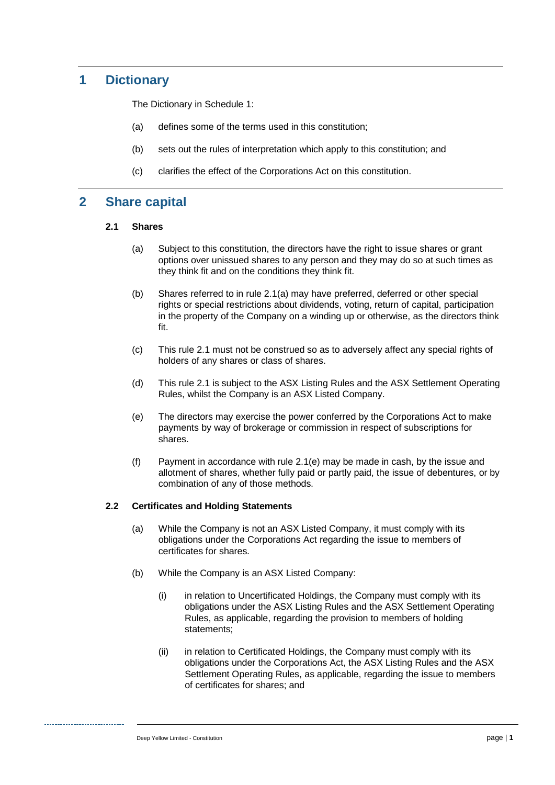# **1 Dictionary**

The Dictionary in Schedule 1:

- (a) defines some of the terms used in this constitution;
- (b) sets out the rules of interpretation which apply to this constitution; and
- (c) clarifies the effect of the Corporations Act on this constitution.

## <span id="page-5-1"></span>**2 Share capital**

#### <span id="page-5-0"></span>**2.1 Shares**

- (a) Subject to this constitution, the directors have the right to issue shares or grant options over unissued shares to any person and they may do so at such times as they think fit and on the conditions they think fit.
- (b) Shares referred to in rule [2.1\(a\)](#page-5-0) may have preferred, deferred or other special rights or special restrictions about dividends, voting, return of capital, participation in the property of the Company on a winding up or otherwise, as the directors think fit.
- (c) This rule [2.1](#page-5-1) must not be construed so as to adversely affect any special rights of holders of any shares or class of shares.
- (d) This rule [2.1](#page-5-1) is subject to the ASX Listing Rules and the ASX Settlement Operating Rules, whilst the Company is an ASX Listed Company.
- <span id="page-5-2"></span>(e) The directors may exercise the power conferred by the Corporations Act to make payments by way of brokerage or commission in respect of subscriptions for shares.
- (f) Payment in accordance with rule [2.1\(e\)](#page-5-2) may be made in cash, by the issue and allotment of shares, whether fully paid or partly paid, the issue of debentures, or by combination of any of those methods.

#### <span id="page-5-4"></span>**2.2 Certificates and Holding Statements**

- (a) While the Company is not an ASX Listed Company, it must comply with its obligations under the Corporations Act regarding the issue to members of certificates for shares.
- <span id="page-5-3"></span>(b) While the Company is an ASX Listed Company:
	- (i) in relation to Uncertificated Holdings, the Company must comply with its obligations under the ASX Listing Rules and the ASX Settlement Operating Rules, as applicable, regarding the provision to members of holding statements:
	- (ii) in relation to Certificated Holdings, the Company must comply with its obligations under the Corporations Act, the ASX Listing Rules and the ASX Settlement Operating Rules, as applicable, regarding the issue to members of certificates for shares; and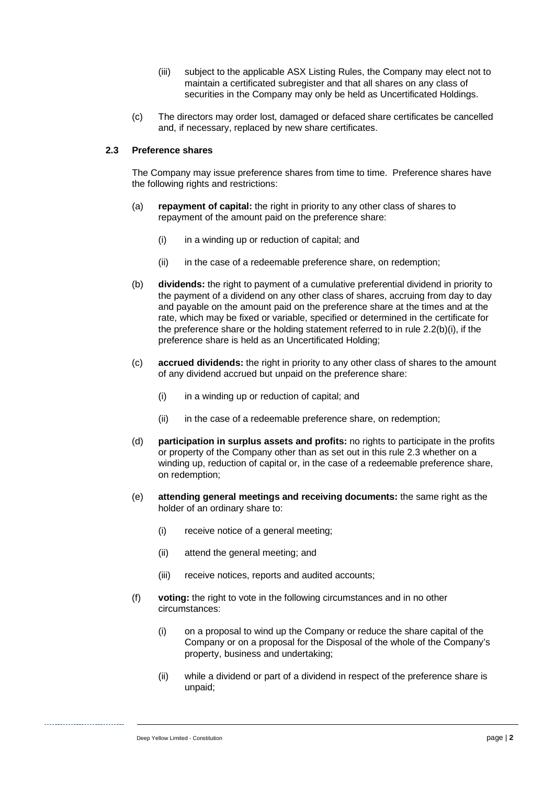- (iii) subject to the applicable ASX Listing Rules, the Company may elect not to maintain a certificated subregister and that all shares on any class of securities in the Company may only be held as Uncertificated Holdings.
- (c) The directors may order lost, damaged or defaced share certificates be cancelled and, if necessary, replaced by new share certificates.

#### <span id="page-6-0"></span>**2.3 Preference shares**

The Company may issue preference shares from time to time. Preference shares have the following rights and restrictions:

- (a) **repayment of capital:** the right in priority to any other class of shares to repayment of the amount paid on the preference share:
	- (i) in a winding up or reduction of capital; and
	- (ii) in the case of a redeemable preference share, on redemption;
- (b) **dividends:** the right to payment of a cumulative preferential dividend in priority to the payment of a dividend on any other class of shares, accruing from day to day and payable on the amount paid on the preference share at the times and at the rate, which may be fixed or variable, specified or determined in the certificate for the preference share or the holding statement referred to in rule  $2.2(b)(i)$ , if the preference share is held as an Uncertificated Holding;
- (c) **accrued dividends:** the right in priority to any other class of shares to the amount of any dividend accrued but unpaid on the preference share:
	- $(i)$  in a winding up or reduction of capital; and
	- (ii) in the case of a redeemable preference share, on redemption;
- (d) **participation in surplus assets and profits:** no rights to participate in the profits or property of the Company other than as set out in this rule [2.3](#page-6-0) whether on a winding up, reduction of capital or, in the case of a redeemable preference share, on redemption;
- (e) **attending general meetings and receiving documents:** the same right as the holder of an ordinary share to:
	- (i) receive notice of a general meeting;
	- (ii) attend the general meeting; and
	- (iii) receive notices, reports and audited accounts;
- <span id="page-6-1"></span>(f) **voting:** the right to vote in the following circumstances and in no other circumstances:
	- (i) on a proposal to wind up the Company or reduce the share capital of the Company or on a proposal for the Disposal of the whole of the Company's property, business and undertaking;
	- (ii) while a dividend or part of a dividend in respect of the preference share is unpaid;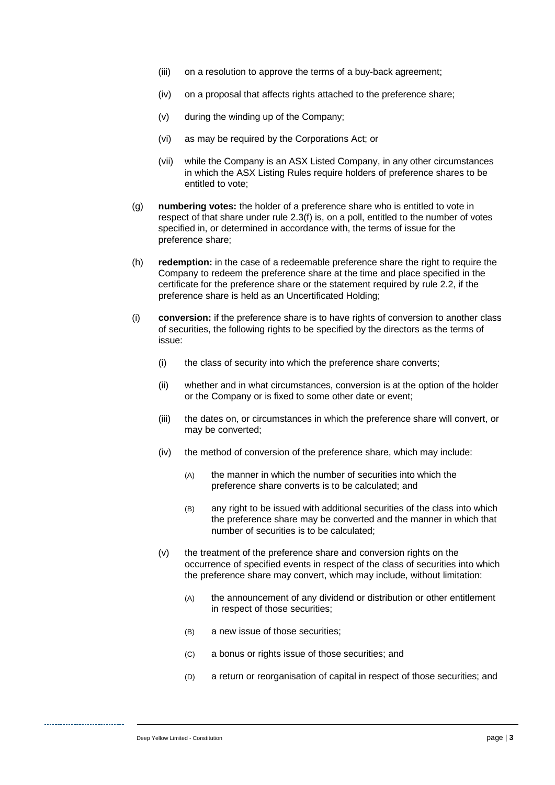- (iii) on a resolution to approve the terms of a buy-back agreement;
- (iv) on a proposal that affects rights attached to the preference share;
- (v) during the winding up of the Company;
- (vi) as may be required by the Corporations Act; or
- (vii) while the Company is an ASX Listed Company, in any other circumstances in which the ASX Listing Rules require holders of preference shares to be entitled to vote;
- (g) **numbering votes:** the holder of a preference share who is entitled to vote in respect of that share under rule [2.3\(f\)](#page-6-1) is, on a poll, entitled to the number of votes specified in, or determined in accordance with, the terms of issue for the preference share;
- (h) **redemption:** in the case of a redeemable preference share the right to require the Company to redeem the preference share at the time and place specified in the certificate for the preference share or the statement required by rule [2.2,](#page-5-4) if the preference share is held as an Uncertificated Holding;
- (i) **conversion:** if the preference share is to have rights of conversion to another class of securities, the following rights to be specified by the directors as the terms of issue:
	- (i) the class of security into which the preference share converts;
	- (ii) whether and in what circumstances, conversion is at the option of the holder or the Company or is fixed to some other date or event;
	- (iii) the dates on, or circumstances in which the preference share will convert, or may be converted;
	- (iv) the method of conversion of the preference share, which may include:
		- (A) the manner in which the number of securities into which the preference share converts is to be calculated; and
		- (B) any right to be issued with additional securities of the class into which the preference share may be converted and the manner in which that number of securities is to be calculated;
	- (v) the treatment of the preference share and conversion rights on the occurrence of specified events in respect of the class of securities into which the preference share may convert, which may include, without limitation:
		- (A) the announcement of any dividend or distribution or other entitlement in respect of those securities;
		- (B) a new issue of those securities;
		- (C) a bonus or rights issue of those securities; and
		- (D) a return or reorganisation of capital in respect of those securities; and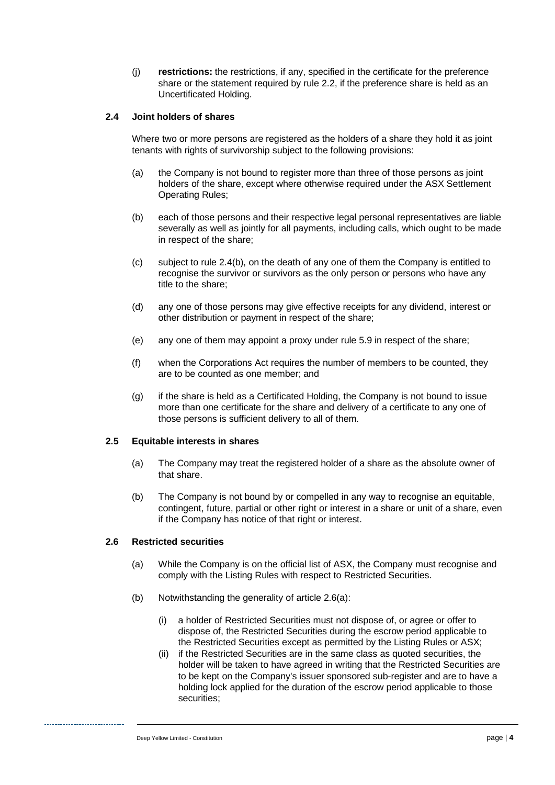(j) **restrictions:** the restrictions, if any, specified in the certificate for the preference share or the statement required by rule [2.2,](#page-5-4) if the preference share is held as an Uncertificated Holding.

#### <span id="page-8-1"></span>**2.4 Joint holders of shares**

Where two or more persons are registered as the holders of a share they hold it as joint tenants with rights of survivorship subject to the following provisions:

- (a) the Company is not bound to register more than three of those persons as joint holders of the share, except where otherwise required under the ASX Settlement Operating Rules;
- <span id="page-8-0"></span>(b) each of those persons and their respective legal personal representatives are liable severally as well as jointly for all payments, including calls, which ought to be made in respect of the share;
- (c) subject to rule [2.4\(b\),](#page-8-0) on the death of any one of them the Company is entitled to recognise the survivor or survivors as the only person or persons who have any title to the share;
- (d) any one of those persons may give effective receipts for any dividend, interest or other distribution or payment in respect of the share;
- (e) any one of them may appoint a proxy under rule [5.9](#page-26-0) in respect of the share;
- (f) when the Corporations Act requires the number of members to be counted, they are to be counted as one member; and
- (g) if the share is held as a Certificated Holding, the Company is not bound to issue more than one certificate for the share and delivery of a certificate to any one of those persons is sufficient delivery to all of them.

#### **2.5 Equitable interests in shares**

- (a) The Company may treat the registered holder of a share as the absolute owner of that share.
- (b) The Company is not bound by or compelled in any way to recognise an equitable, contingent, future, partial or other right or interest in a share or unit of a share, even if the Company has notice of that right or interest.

#### **2.6 Restricted securities**

- (a) While the Company is on the official list of ASX, the Company must recognise and comply with the Listing Rules with respect to Restricted Securities.
- (b) Notwithstanding the generality of article 2.6(a):
	- (i) a holder of Restricted Securities must not dispose of, or agree or offer to dispose of, the Restricted Securities during the escrow period applicable to the Restricted Securities except as permitted by the Listing Rules or ASX;
	- (ii) if the Restricted Securities are in the same class as quoted securities, the holder will be taken to have agreed in writing that the Restricted Securities are to be kept on the Company's issuer sponsored sub-register and are to have a holding lock applied for the duration of the escrow period applicable to those securities;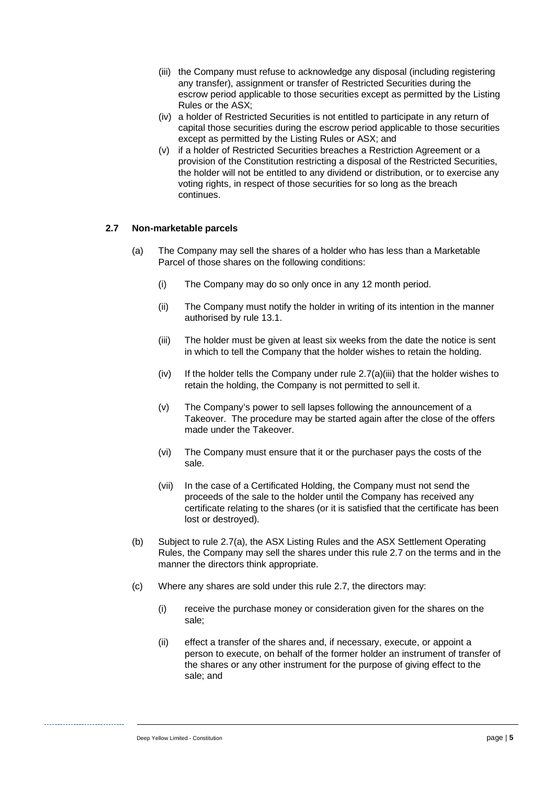- (iii) the Company must refuse to acknowledge any disposal (including registering any transfer), assignment or transfer of Restricted Securities during the escrow period applicable to those securities except as permitted by the Listing Rules or the ASX;
- (iv) a holder of Restricted Securities is not entitled to participate in any return of capital those securities during the escrow period applicable to those securities except as permitted by the Listing Rules or ASX; and
- (v) if a holder of Restricted Securities breaches a Restriction Agreement or a provision of the Constitution restricting a disposal of the Restricted Securities, the holder will not be entitled to any dividend or distribution, or to exercise any voting rights, in respect of those securities for so long as the breach continues.

#### <span id="page-9-1"></span><span id="page-9-0"></span>**2.7 Non-marketable parcels**

- <span id="page-9-2"></span>(a) The Company may sell the shares of a holder who has less than a Marketable Parcel of those shares on the following conditions:
	- (i) The Company may do so only once in any 12 month period.
	- (ii) The Company must notify the holder in writing of its intention in the manner authorised by rule [13.1.](#page-49-0)
	- (iii) The holder must be given at least six weeks from the date the notice is sent in which to tell the Company that the holder wishes to retain the holding.
	- (iv) If the holder tells the Company under rule [2.7](#page-9-0)[\(a\)](#page-9-1)[\(iii\)](#page-9-2) that the holder wishes to retain the holding, the Company is not permitted to sell it.
	- (v) The Company's power to sell lapses following the announcement of a Takeover. The procedure may be started again after the close of the offers made under the Takeover.
	- (vi) The Company must ensure that it or the purchaser pays the costs of the sale.
	- (vii) In the case of a Certificated Holding, the Company must not send the proceeds of the sale to the holder until the Company has received any certificate relating to the shares (or it is satisfied that the certificate has been lost or destroyed).
- (b) Subject to rule [2.7](#page-9-0)[\(a\),](#page-9-1) the ASX Listing Rules and the ASX Settlement Operating Rules, the Company may sell the shares under this rule [2.7](#page-9-0) on the terms and in the manner the directors think appropriate.
- (c) Where any shares are sold under this rule [2.7,](#page-9-0) the directors may:
	- (i) receive the purchase money or consideration given for the shares on the sale;
	- (ii) effect a transfer of the shares and, if necessary, execute, or appoint a person to execute, on behalf of the former holder an instrument of transfer of the shares or any other instrument for the purpose of giving effect to the sale; and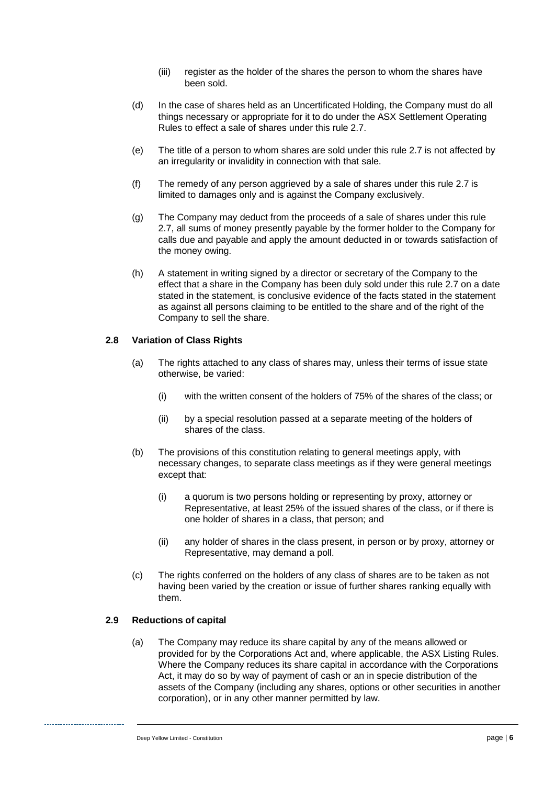- (iii) register as the holder of the shares the person to whom the shares have been sold.
- (d) In the case of shares held as an Uncertificated Holding, the Company must do all things necessary or appropriate for it to do under the ASX Settlement Operating Rules to effect a sale of shares under this rule [2.7.](#page-9-0)
- (e) The title of a person to whom shares are sold under this rule [2.7](#page-9-0) is not affected by an irregularity or invalidity in connection with that sale.
- (f) The remedy of any person aggrieved by a sale of shares under this rule [2.7](#page-9-0) is limited to damages only and is against the Company exclusively.
- (g) The Company may deduct from the proceeds of a sale of shares under this rule [2.7,](#page-9-0) all sums of money presently payable by the former holder to the Company for calls due and payable and apply the amount deducted in or towards satisfaction of the money owing.
- (h) A statement in writing signed by a director or secretary of the Company to the effect that a share in the Company has been duly sold under this rule [2.7](#page-9-0) on a date stated in the statement, is conclusive evidence of the facts stated in the statement as against all persons claiming to be entitled to the share and of the right of the Company to sell the share.

#### **2.8 Variation of Class Rights**

- (a) The rights attached to any class of shares may, unless their terms of issue state otherwise, be varied:
	- (i) with the written consent of the holders of 75% of the shares of the class; or
	- (ii) by a special resolution passed at a separate meeting of the holders of shares of the class.
- (b) The provisions of this constitution relating to general meetings apply, with necessary changes, to separate class meetings as if they were general meetings except that:
	- (i) a quorum is two persons holding or representing by proxy, attorney or Representative, at least 25% of the issued shares of the class, or if there is one holder of shares in a class, that person; and
	- (ii) any holder of shares in the class present, in person or by proxy, attorney or Representative, may demand a poll.
- (c) The rights conferred on the holders of any class of shares are to be taken as not having been varied by the creation or issue of further shares ranking equally with them.

#### <span id="page-10-0"></span>**2.9 Reductions of capital**

(a) The Company may reduce its share capital by any of the means allowed or provided for by the Corporations Act and, where applicable, the ASX Listing Rules. Where the Company reduces its share capital in accordance with the Corporations Act, it may do so by way of payment of cash or an in specie distribution of the assets of the Company (including any shares, options or other securities in another corporation), or in any other manner permitted by law.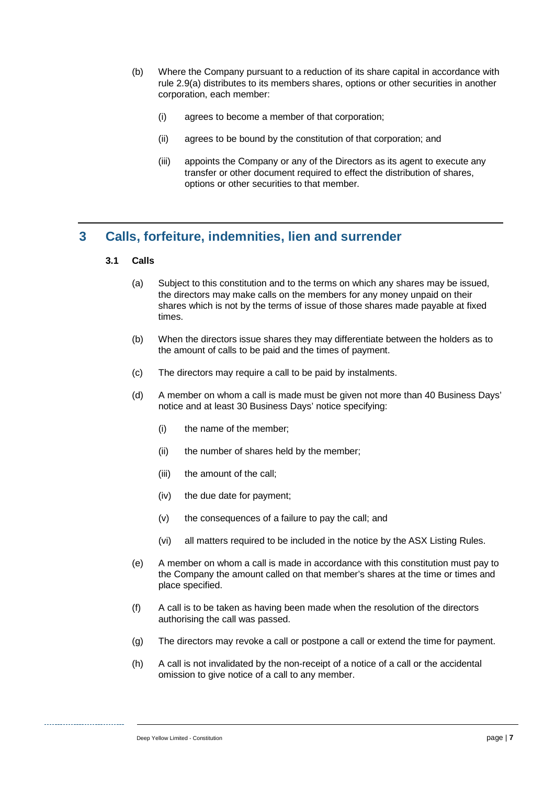- (b) Where the Company pursuant to a reduction of its share capital in accordance with rule [2.9\(a\)](#page-10-0) distributes to its members shares, options or other securities in another corporation, each member:
	- (i) agrees to become a member of that corporation;
	- (ii) agrees to be bound by the constitution of that corporation; and
	- (iii) appoints the Company or any of the Directors as its agent to execute any transfer or other document required to effect the distribution of shares, options or other securities to that member.

# <span id="page-11-0"></span>**3 Calls, forfeiture, indemnities, lien and surrender**

#### **3.1 Calls**

- (a) Subject to this constitution and to the terms on which any shares may be issued, the directors may make calls on the members for any money unpaid on their shares which is not by the terms of issue of those shares made payable at fixed times.
- (b) When the directors issue shares they may differentiate between the holders as to the amount of calls to be paid and the times of payment.
- (c) The directors may require a call to be paid by instalments.
- (d) A member on whom a call is made must be given not more than 40 Business Days' notice and at least 30 Business Days' notice specifying:
	- (i) the name of the member;
	- (ii) the number of shares held by the member;
	- (iii) the amount of the call;
	- (iv) the due date for payment;
	- (v) the consequences of a failure to pay the call; and
	- (vi) all matters required to be included in the notice by the ASX Listing Rules.
- (e) A member on whom a call is made in accordance with this constitution must pay to the Company the amount called on that member's shares at the time or times and place specified.
- (f) A call is to be taken as having been made when the resolution of the directors authorising the call was passed.
- (g) The directors may revoke a call or postpone a call or extend the time for payment.
- (h) A call is not invalidated by the non-receipt of a notice of a call or the accidental omission to give notice of a call to any member.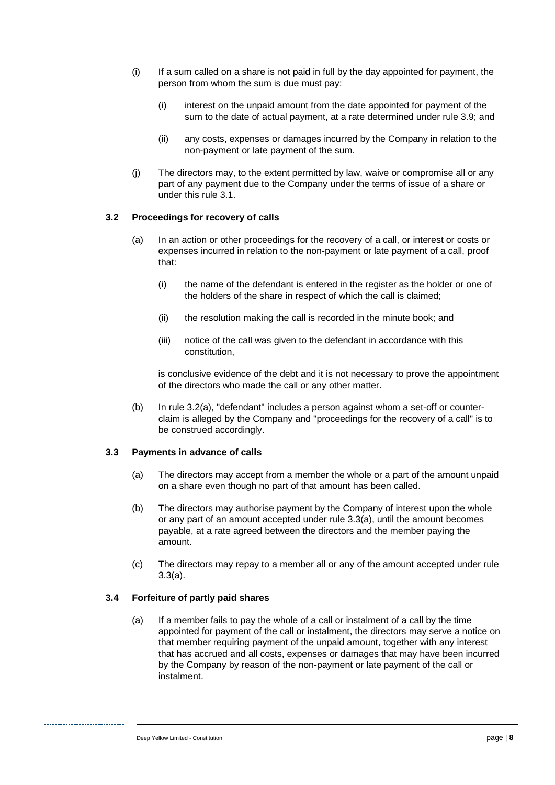- <span id="page-12-4"></span>(i) If a sum called on a share is not paid in full by the day appointed for payment, the person from whom the sum is due must pay:
	- (i) interest on the unpaid amount from the date appointed for payment of the sum to the date of actual payment, at a rate determined under rule [3.9;](#page-17-0) and
	- (ii) any costs, expenses or damages incurred by the Company in relation to the non-payment or late payment of the sum.
- (j) The directors may, to the extent permitted by law, waive or compromise all or any part of any payment due to the Company under the terms of issue of a share or under this rule [3.1.](#page-11-0)

#### <span id="page-12-0"></span>**3.2 Proceedings for recovery of calls**

- (a) In an action or other proceedings for the recovery of a call, or interest or costs or expenses incurred in relation to the non-payment or late payment of a call, proof that:
	- (i) the name of the defendant is entered in the register as the holder or one of the holders of the share in respect of which the call is claimed;
	- (ii) the resolution making the call is recorded in the minute book; and
	- (iii) notice of the call was given to the defendant in accordance with this constitution,

is conclusive evidence of the debt and it is not necessary to prove the appointment of the directors who made the call or any other matter.

(b) In rule [3.2\(a\),](#page-12-0) "defendant" includes a person against whom a set-off or counterclaim is alleged by the Company and "proceedings for the recovery of a call" is to be construed accordingly.

#### <span id="page-12-1"></span>**3.3 Payments in advance of calls**

- (a) The directors may accept from a member the whole or a part of the amount unpaid on a share even though no part of that amount has been called.
- (b) The directors may authorise payment by the Company of interest upon the whole or any part of an amount accepted under rule [3.3\(a\),](#page-12-1) until the amount becomes payable, at a rate agreed between the directors and the member paying the amount.
- (c) The directors may repay to a member all or any of the amount accepted under rule [3.3\(a\).](#page-12-1)

#### <span id="page-12-3"></span><span id="page-12-2"></span>**3.4 Forfeiture of partly paid shares**

(a) If a member fails to pay the whole of a call or instalment of a call by the time appointed for payment of the call or instalment, the directors may serve a notice on that member requiring payment of the unpaid amount, together with any interest that has accrued and all costs, expenses or damages that may have been incurred by the Company by reason of the non-payment or late payment of the call or instalment.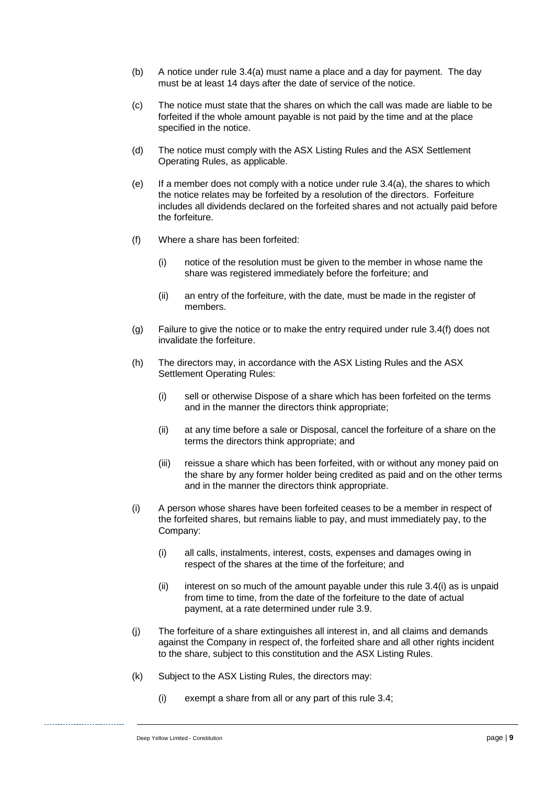- (b) A notice under rule [3.4\(a\)](#page-12-2) must name a place and a day for payment. The day must be at least 14 days after the date of service of the notice.
- (c) The notice must state that the shares on which the call was made are liable to be forfeited if the whole amount payable is not paid by the time and at the place specified in the notice.
- (d) The notice must comply with the ASX Listing Rules and the ASX Settlement Operating Rules, as applicable.
- <span id="page-13-3"></span>(e) If a member does not comply with a notice under rule [3.4\(a\),](#page-12-2) the shares to which the notice relates may be forfeited by a resolution of the directors. Forfeiture includes all dividends declared on the forfeited shares and not actually paid before the forfeiture.
- <span id="page-13-0"></span>(f) Where a share has been forfeited:
	- (i) notice of the resolution must be given to the member in whose name the share was registered immediately before the forfeiture; and
	- (ii) an entry of the forfeiture, with the date, must be made in the register of members.
- (g) Failure to give the notice or to make the entry required under rule [3.4\(f\)](#page-13-0) does not invalidate the forfeiture.
- <span id="page-13-2"></span>(h) The directors may, in accordance with the ASX Listing Rules and the ASX Settlement Operating Rules:
	- (i) sell or otherwise Dispose of a share which has been forfeited on the terms and in the manner the directors think appropriate;
	- (ii) at any time before a sale or Disposal, cancel the forfeiture of a share on the terms the directors think appropriate; and
	- (iii) reissue a share which has been forfeited, with or without any money paid on the share by any former holder being credited as paid and on the other terms and in the manner the directors think appropriate.
- <span id="page-13-1"></span>(i) A person whose shares have been forfeited ceases to be a member in respect of the forfeited shares, but remains liable to pay, and must immediately pay, to the Company:
	- (i) all calls, instalments, interest, costs, expenses and damages owing in respect of the shares at the time of the forfeiture; and
	- $(ii)$  interest on so much of the amount payable under this rule [3.4\(i\)](#page-13-1) as is unpaid from time to time, from the date of the forfeiture to the date of actual payment, at a rate determined under rule [3.9.](#page-17-0)
- <span id="page-13-4"></span>(j) The forfeiture of a share extinguishes all interest in, and all claims and demands against the Company in respect of, the forfeited share and all other rights incident to the share, subject to this constitution and the ASX Listing Rules.
- (k) Subject to the ASX Listing Rules, the directors may:
	- (i) exempt a share from all or any part of this rule [3.4;](#page-12-3)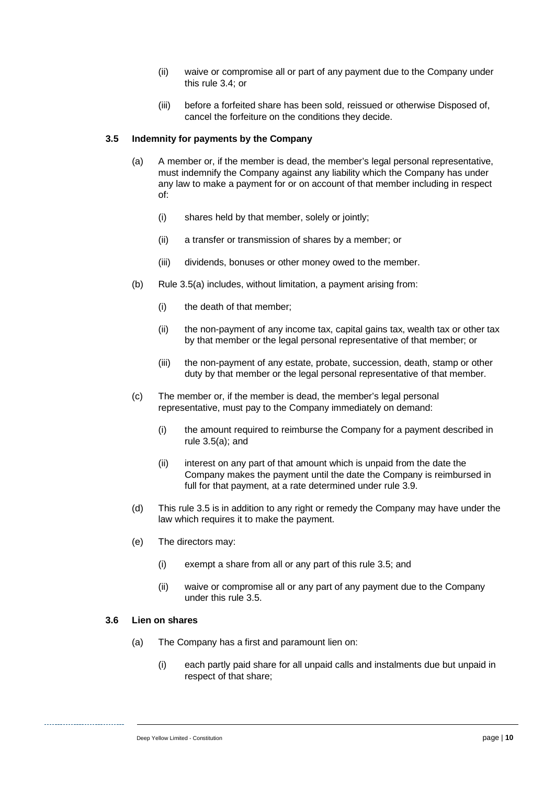- (ii) waive or compromise all or part of any payment due to the Company under this rule [3.4;](#page-12-3) or
- (iii) before a forfeited share has been sold, reissued or otherwise Disposed of, cancel the forfeiture on the conditions they decide.

#### <span id="page-14-1"></span><span id="page-14-0"></span>**3.5 Indemnity for payments by the Company**

- (a) A member or, if the member is dead, the member's legal personal representative, must indemnify the Company against any liability which the Company has under any law to make a payment for or on account of that member including in respect of:
	- (i) shares held by that member, solely or jointly;
	- (ii) a transfer or transmission of shares by a member; or
	- (iii) dividends, bonuses or other money owed to the member.
- (b) Rule [3.5\(a\)](#page-14-0) includes, without limitation, a payment arising from:
	- (i) the death of that member;
	- (ii) the non-payment of any income tax, capital gains tax, wealth tax or other tax by that member or the legal personal representative of that member; or
	- (iii) the non-payment of any estate, probate, succession, death, stamp or other duty by that member or the legal personal representative of that member.
- (c) The member or, if the member is dead, the member's legal personal representative, must pay to the Company immediately on demand:
	- (i) the amount required to reimburse the Company for a payment described in rule [3.5\(a\);](#page-14-0) and
	- (ii) interest on any part of that amount which is unpaid from the date the Company makes the payment until the date the Company is reimbursed in full for that payment, at a rate determined under rule [3.9.](#page-17-0)
- <span id="page-14-3"></span>(d) This rule [3.5](#page-14-1) is in addition to any right or remedy the Company may have under the law which requires it to make the payment.
- (e) The directors may:
	- (i) exempt a share from all or any part of this rule [3.5;](#page-14-1) and
	- (ii) waive or compromise all or any part of any payment due to the Company under this rule [3.5.](#page-14-1)

#### <span id="page-14-2"></span>**3.6 Lien on shares**

- (a) The Company has a first and paramount lien on:
	- (i) each partly paid share for all unpaid calls and instalments due but unpaid in respect of that share;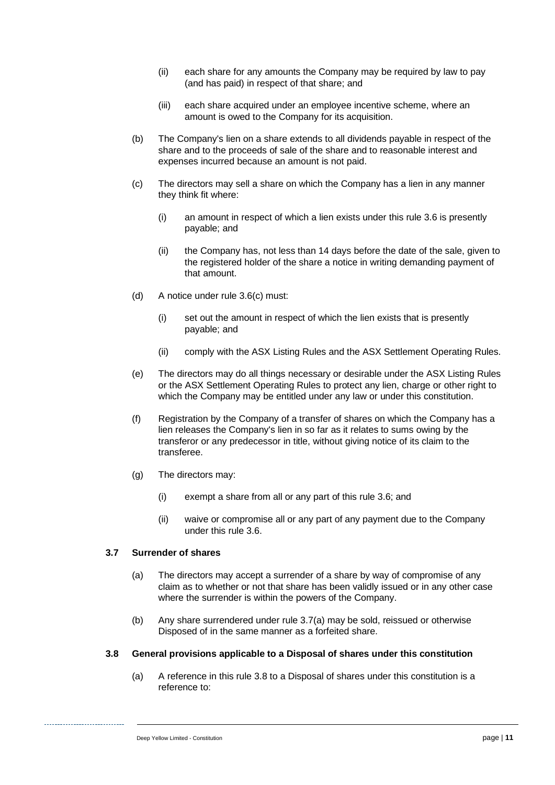- (ii) each share for any amounts the Company may be required by law to pay (and has paid) in respect of that share; and
- (iii) each share acquired under an employee incentive scheme, where an amount is owed to the Company for its acquisition.
- (b) The Company's lien on a share extends to all dividends payable in respect of the share and to the proceeds of sale of the share and to reasonable interest and expenses incurred because an amount is not paid.
- <span id="page-15-0"></span>(c) The directors may sell a share on which the Company has a lien in any manner they think fit where:
	- (i) an amount in respect of which a lien exists under this rule [3.6](#page-14-2) is presently payable; and
	- (ii) the Company has, not less than 14 days before the date of the sale, given to the registered holder of the share a notice in writing demanding payment of that amount.
- (d) A notice under rule [3.6\(c\)](#page-15-0) must:
	- (i) set out the amount in respect of which the lien exists that is presently payable; and
	- (ii) comply with the ASX Listing Rules and the ASX Settlement Operating Rules.
- (e) The directors may do all things necessary or desirable under the ASX Listing Rules or the ASX Settlement Operating Rules to protect any lien, charge or other right to which the Company may be entitled under any law or under this constitution.
- (f) Registration by the Company of a transfer of shares on which the Company has a lien releases the Company's lien in so far as it relates to sums owing by the transferor or any predecessor in title, without giving notice of its claim to the transferee.
- (g) The directors may:
	- (i) exempt a share from all or any part of this rule [3.6;](#page-14-2) and
	- (ii) waive or compromise all or any part of any payment due to the Company under this rule [3.6.](#page-14-2)

#### <span id="page-15-3"></span><span id="page-15-1"></span>**3.7 Surrender of shares**

- (a) The directors may accept a surrender of a share by way of compromise of any claim as to whether or not that share has been validly issued or in any other case where the surrender is within the powers of the Company.
- (b) Any share surrendered under rule [3.7\(a\)](#page-15-1) may be sold, reissued or otherwise Disposed of in the same manner as a forfeited share.

#### <span id="page-15-2"></span>**3.8 General provisions applicable to a Disposal of shares under this constitution**

(a) A reference in this rule [3.8](#page-15-2) to a Disposal of shares under this constitution is a reference to: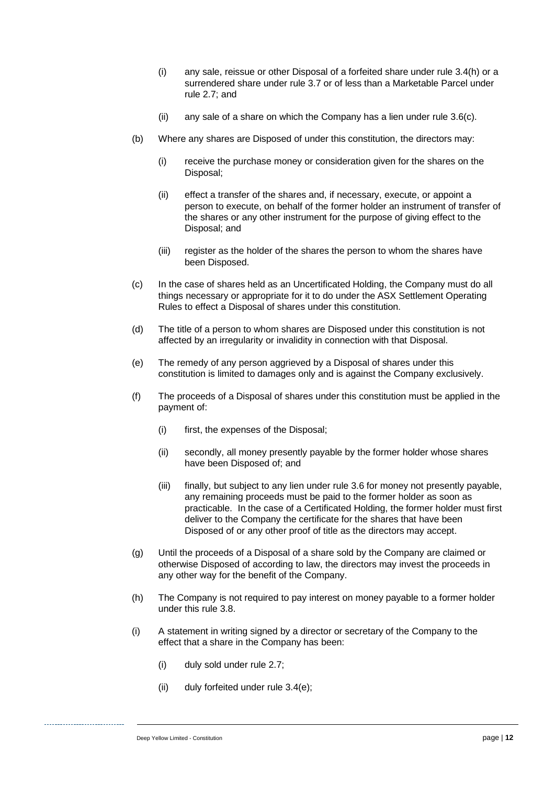- (i) any sale, reissue or other Disposal of a forfeited share under rule [3.4\(h\)](#page-13-2) or a surrendered share under rule [3.7](#page-15-3) or of less than a Marketable Parcel under rule [2.7;](#page-9-0) and
- (ii) any sale of a share on which the Company has a lien under rule [3.6\(c\).](#page-15-0)
- (b) Where any shares are Disposed of under this constitution, the directors may:
	- (i) receive the purchase money or consideration given for the shares on the Disposal;
	- (ii) effect a transfer of the shares and, if necessary, execute, or appoint a person to execute, on behalf of the former holder an instrument of transfer of the shares or any other instrument for the purpose of giving effect to the Disposal; and
	- (iii) register as the holder of the shares the person to whom the shares have been Disposed.
- (c) In the case of shares held as an Uncertificated Holding, the Company must do all things necessary or appropriate for it to do under the ASX Settlement Operating Rules to effect a Disposal of shares under this constitution.
- (d) The title of a person to whom shares are Disposed under this constitution is not affected by an irregularity or invalidity in connection with that Disposal.
- (e) The remedy of any person aggrieved by a Disposal of shares under this constitution is limited to damages only and is against the Company exclusively.
- (f) The proceeds of a Disposal of shares under this constitution must be applied in the payment of:
	- (i) first, the expenses of the Disposal;
	- (ii) secondly, all money presently payable by the former holder whose shares have been Disposed of; and
	- (iii) finally, but subject to any lien under rule [3.6](#page-14-2) for money not presently payable, any remaining proceeds must be paid to the former holder as soon as practicable. In the case of a Certificated Holding, the former holder must first deliver to the Company the certificate for the shares that have been Disposed of or any other proof of title as the directors may accept.
- (g) Until the proceeds of a Disposal of a share sold by the Company are claimed or otherwise Disposed of according to law, the directors may invest the proceeds in any other way for the benefit of the Company.
- (h) The Company is not required to pay interest on money payable to a former holder under this rule [3.8.](#page-15-2)
- (i) A statement in writing signed by a director or secretary of the Company to the effect that a share in the Company has been:
	- (i) duly sold under rule [2.7;](#page-9-0)
	- (ii) duly forfeited under rule [3.4\(e\);](#page-13-3)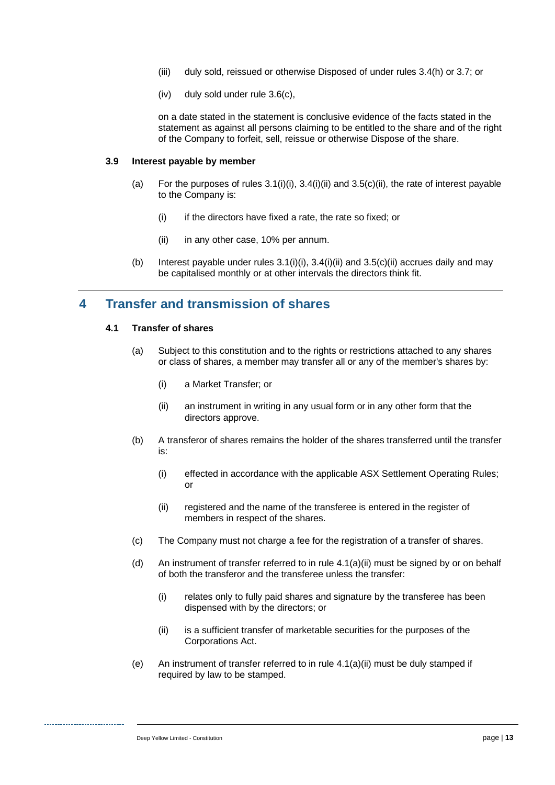- (iii) duly sold, reissued or otherwise Disposed of under rules [3.4\(h\)](#page-13-2) or [3.7;](#page-15-3) or
- (iv) duly sold under rule [3.6\(c\),](#page-15-0)

on a date stated in the statement is conclusive evidence of the facts stated in the statement as against all persons claiming to be entitled to the share and of the right of the Company to forfeit, sell, reissue or otherwise Dispose of the share.

#### <span id="page-17-0"></span>**3.9 Interest payable by member**

- (a) For the purposes of rules  $3.1(i)(i)$ ,  $3.4(i)(ii)$  and  $3.5(c)(ii)$ , the rate of interest payable to the Company is:
	- (i) if the directors have fixed a rate, the rate so fixed; or
	- (ii) in any other case, 10% per annum.
- (b) Interest payable under rules  $3.1(i)(i)$ ,  $3.4(i)(ii)$  and  $3.5(c)(ii)$  accrues daily and may be capitalised monthly or at other intervals the directors think fit.

# <span id="page-17-4"></span>**4 Transfer and transmission of shares**

#### **4.1 Transfer of shares**

- (a) Subject to this constitution and to the rights or restrictions attached to any shares or class of shares, a member may transfer all or any of the member's shares by:
	- (i) a Market Transfer; or
	- (ii) an instrument in writing in any usual form or in any other form that the directors approve.
- <span id="page-17-1"></span>(b) A transferor of shares remains the holder of the shares transferred until the transfer is:
	- (i) effected in accordance with the applicable ASX Settlement Operating Rules; or
	- (ii) registered and the name of the transferee is entered in the register of members in respect of the shares.
- (c) The Company must not charge a fee for the registration of a transfer of shares.
- <span id="page-17-2"></span>(d) An instrument of transfer referred to in rule [4.1\(a\)\(ii\)](#page-17-1) must be signed by or on behalf of both the transferor and the transferee unless the transfer:
	- (i) relates only to fully paid shares and signature by the transferee has been dispensed with by the directors; or
	- (ii) is a sufficient transfer of marketable securities for the purposes of the Corporations Act.
- <span id="page-17-3"></span>(e) An instrument of transfer referred to in rule [4.1\(a\)\(ii\)](#page-17-1) must be duly stamped if required by law to be stamped.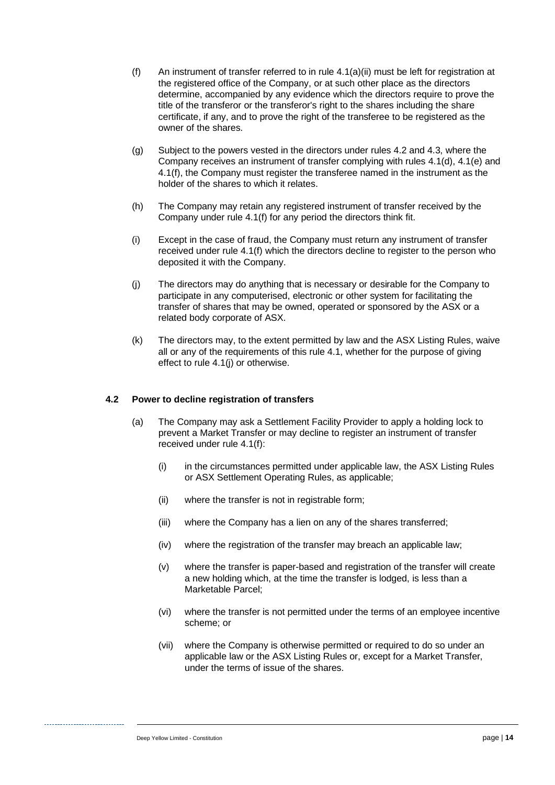- <span id="page-18-1"></span>(f) An instrument of transfer referred to in rule [4.1\(a\)\(ii\)](#page-17-1) must be left for registration at the registered office of the Company, or at such other place as the directors determine, accompanied by any evidence which the directors require to prove the title of the transferor or the transferor's right to the shares including the share certificate, if any, and to prove the right of the transferee to be registered as the owner of the shares.
- <span id="page-18-3"></span>(g) Subject to the powers vested in the directors under rules [4.2](#page-18-0) and [4.3,](#page-19-0) where the Company receives an instrument of transfer complying with rules [4.1\(d\),](#page-17-2) [4.1\(e\)](#page-17-3) and [4.1\(f\),](#page-18-1) the Company must register the transferee named in the instrument as the holder of the shares to which it relates.
- (h) The Company may retain any registered instrument of transfer received by the Company under rule [4.1\(f\)](#page-18-1) for any period the directors think fit.
- (i) Except in the case of fraud, the Company must return any instrument of transfer received under rule [4.1\(f\)](#page-18-1) which the directors decline to register to the person who deposited it with the Company.
- <span id="page-18-2"></span>(j) The directors may do anything that is necessary or desirable for the Company to participate in any computerised, electronic or other system for facilitating the transfer of shares that may be owned, operated or sponsored by the ASX or a related body corporate of ASX.
- (k) The directors may, to the extent permitted by law and the ASX Listing Rules, waive all or any of the requirements of this rule [4.1,](#page-17-4) whether for the purpose of giving effect to rule [4.1\(j\)](#page-18-2) or otherwise.

#### <span id="page-18-0"></span>**4.2 Power to decline registration of transfers**

- (a) The Company may ask a Settlement Facility Provider to apply a holding lock to prevent a Market Transfer or may decline to register an instrument of transfer received under rule [4.1\(f\):](#page-18-1)
	- (i) in the circumstances permitted under applicable law, the ASX Listing Rules or ASX Settlement Operating Rules, as applicable;
	- (ii) where the transfer is not in registrable form;
	- (iii) where the Company has a lien on any of the shares transferred;
	- (iv) where the registration of the transfer may breach an applicable law;
	- (v) where the transfer is paper-based and registration of the transfer will create a new holding which, at the time the transfer is lodged, is less than a Marketable Parcel;
	- (vi) where the transfer is not permitted under the terms of an employee incentive scheme; or
	- (vii) where the Company is otherwise permitted or required to do so under an applicable law or the ASX Listing Rules or, except for a Market Transfer, under the terms of issue of the shares.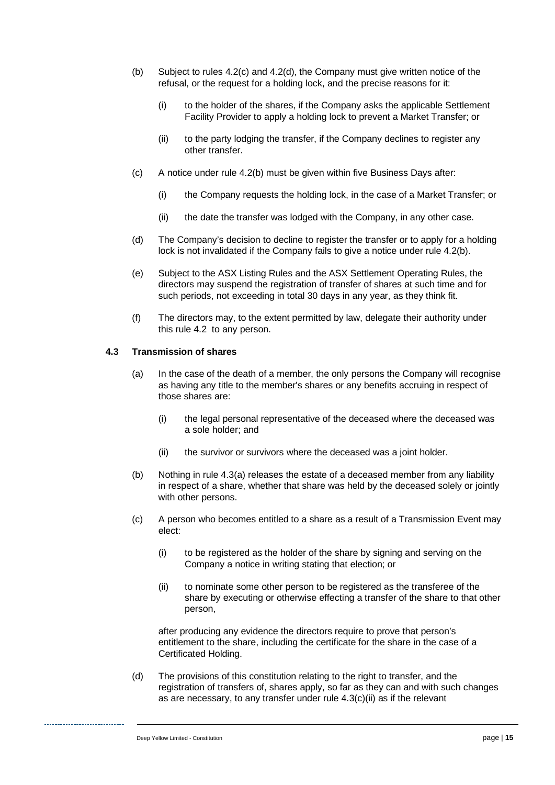- <span id="page-19-3"></span>(b) Subject to rules [4.2\(c\)](#page-19-1) and [4.2\(d\),](#page-19-2) the Company must give written notice of the refusal, or the request for a holding lock, and the precise reasons for it:
	- (i) to the holder of the shares, if the Company asks the applicable Settlement Facility Provider to apply a holding lock to prevent a Market Transfer; or
	- (ii) to the party lodging the transfer, if the Company declines to register any other transfer.
- <span id="page-19-1"></span>(c) A notice under rule [4.2\(b\)](#page-19-3) must be given within five Business Days after:
	- (i) the Company requests the holding lock, in the case of a Market Transfer; or
	- (ii) the date the transfer was lodged with the Company, in any other case.
- <span id="page-19-2"></span>(d) The Company's decision to decline to register the transfer or to apply for a holding lock is not invalidated if the Company fails to give a notice under rule [4.2\(b\).](#page-19-3)
- (e) Subject to the ASX Listing Rules and the ASX Settlement Operating Rules, the directors may suspend the registration of transfer of shares at such time and for such periods, not exceeding in total 30 days in any year, as they think fit.
- (f) The directors may, to the extent permitted by law, delegate their authority under this rule [4.2](#page-18-0) to any person.

#### <span id="page-19-4"></span><span id="page-19-0"></span>**4.3 Transmission of shares**

- (a) In the case of the death of a member, the only persons the Company will recognise as having any title to the member's shares or any benefits accruing in respect of those shares are:
	- (i) the legal personal representative of the deceased where the deceased was a sole holder; and
	- (ii) the survivor or survivors where the deceased was a joint holder.
- (b) Nothing in rule [4.3\(a\)](#page-19-4) releases the estate of a deceased member from any liability in respect of a share, whether that share was held by the deceased solely or jointly with other persons.
- <span id="page-19-6"></span><span id="page-19-5"></span>(c) A person who becomes entitled to a share as a result of a Transmission Event may elect:
	- (i) to be registered as the holder of the share by signing and serving on the Company a notice in writing stating that election; or
	- (ii) to nominate some other person to be registered as the transferee of the share by executing or otherwise effecting a transfer of the share to that other person,

after producing any evidence the directors require to prove that person's entitlement to the share, including the certificate for the share in the case of a Certificated Holding.

(d) The provisions of this constitution relating to the right to transfer, and the registration of transfers of, shares apply, so far as they can and with such changes as are necessary, to any transfer under rule [4.3\(c\)\(ii\)](#page-19-5) as if the relevant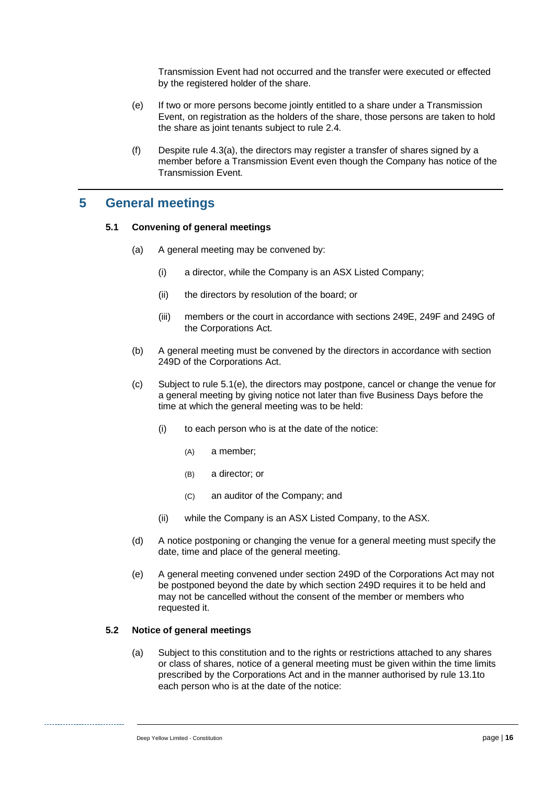Transmission Event had not occurred and the transfer were executed or effected by the registered holder of the share.

- (e) If two or more persons become jointly entitled to a share under a Transmission Event, on registration as the holders of the share, those persons are taken to hold the share as joint tenants subject to rule [2.4.](#page-8-1)
- (f) Despite rule [4.3\(a\),](#page-19-4) the directors may register a transfer of shares signed by a member before a Transmission Event even though the Company has notice of the Transmission Event.

## **5 General meetings**

#### **5.1 Convening of general meetings**

- (a) A general meeting may be convened by:
	- (i) a director, while the Company is an ASX Listed Company;
	- (ii) the directors by resolution of the board; or
	- (iii) members or the court in accordance with sections 249E, 249F and 249G of the Corporations Act.
- (b) A general meeting must be convened by the directors in accordance with section 249D of the Corporations Act.
- (c) Subject to rule [5.1\(e\),](#page-20-0) the directors may postpone, cancel or change the venue for a general meeting by giving notice not later than five Business Days before the time at which the general meeting was to be held:
	- (i) to each person who is at the date of the notice:
		- (A) a member;
		- (B) a director; or
		- (C) an auditor of the Company; and
	- (ii) while the Company is an ASX Listed Company, to the ASX.
- (d) A notice postponing or changing the venue for a general meeting must specify the date, time and place of the general meeting.
- <span id="page-20-0"></span>(e) A general meeting convened under section 249D of the Corporations Act may not be postponed beyond the date by which section 249D requires it to be held and may not be cancelled without the consent of the member or members who requested it.

#### <span id="page-20-2"></span><span id="page-20-1"></span>**5.2 Notice of general meetings**

(a) Subject to this constitution and to the rights or restrictions attached to any shares or class of shares, notice of a general meeting must be given within the time limits prescribed by the Corporations Act and in the manner authorised by rule [13.1t](#page-49-0)o each person who is at the date of the notice: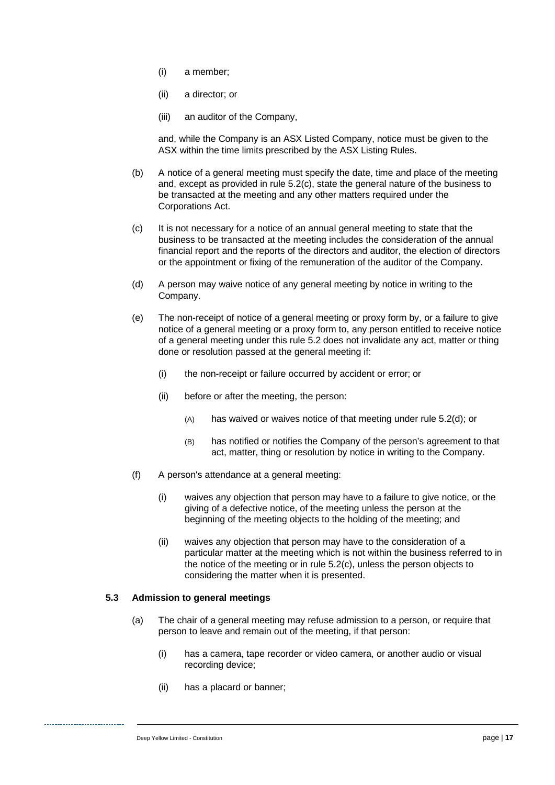- (i) a member;
- (ii) a director; or
- (iii) an auditor of the Company,

and, while the Company is an ASX Listed Company, notice must be given to the ASX within the time limits prescribed by the ASX Listing Rules.

- (b) A notice of a general meeting must specify the date, time and place of the meeting and, except as provided in rule [5.2\(c\),](#page-21-0) state the general nature of the business to be transacted at the meeting and any other matters required under the Corporations Act.
- <span id="page-21-0"></span>(c) It is not necessary for a notice of an annual general meeting to state that the business to be transacted at the meeting includes the consideration of the annual financial report and the reports of the directors and auditor, the election of directors or the appointment or fixing of the remuneration of the auditor of the Company.
- <span id="page-21-1"></span>(d) A person may waive notice of any general meeting by notice in writing to the Company.
- (e) The non-receipt of notice of a general meeting or proxy form by, or a failure to give notice of a general meeting or a proxy form to, any person entitled to receive notice of a general meeting under this rule [5.2](#page-20-1) does not invalidate any act, matter or thing done or resolution passed at the general meeting if:
	- (i) the non-receipt or failure occurred by accident or error; or
	- (ii) before or after the meeting, the person:
		- (A) has waived or waives notice of that meeting under rule [5.2\(d\);](#page-21-1) or
		- (B) has notified or notifies the Company of the person's agreement to that act, matter, thing or resolution by notice in writing to the Company.
- (f) A person's attendance at a general meeting:
	- (i) waives any objection that person may have to a failure to give notice, or the giving of a defective notice, of the meeting unless the person at the beginning of the meeting objects to the holding of the meeting; and
	- (ii) waives any objection that person may have to the consideration of a particular matter at the meeting which is not within the business referred to in the notice of the meeting or in rule [5.2\(c\),](#page-21-0) unless the person objects to considering the matter when it is presented.

#### <span id="page-21-2"></span>**5.3 Admission to general meetings**

- (a) The chair of a general meeting may refuse admission to a person, or require that person to leave and remain out of the meeting, if that person:
	- (i) has a camera, tape recorder or video camera, or another audio or visual recording device;
	- (ii) has a placard or banner;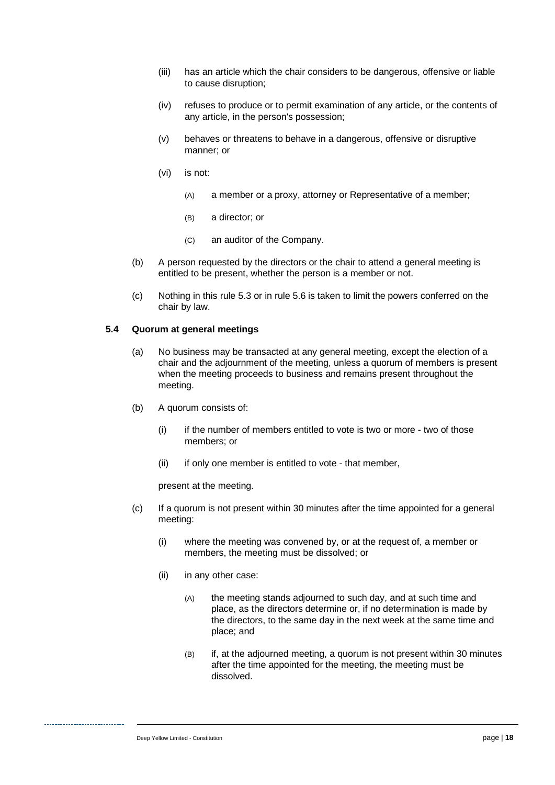- (iii) has an article which the chair considers to be dangerous, offensive or liable to cause disruption;
- (iv) refuses to produce or to permit examination of any article, or the contents of any article, in the person's possession;
- (v) behaves or threatens to behave in a dangerous, offensive or disruptive manner; or
- (vi) is not:
	- (A) a member or a proxy, attorney or Representative of a member;
	- (B) a director; or
	- (C) an auditor of the Company.
- (b) A person requested by the directors or the chair to attend a general meeting is entitled to be present, whether the person is a member or not.
- (c) Nothing in this rule [5.3](#page-21-2) or in rule [5.6](#page-23-0) is taken to limit the powers conferred on the chair by law.

#### **5.4 Quorum at general meetings**

- (a) No business may be transacted at any general meeting, except the election of a chair and the adjournment of the meeting, unless a quorum of members is present when the meeting proceeds to business and remains present throughout the meeting.
- (b) A quorum consists of:
	- (i) if the number of members entitled to vote is two or more two of those members; or
	- (ii) if only one member is entitled to vote that member,

present at the meeting.

- (c) If a quorum is not present within 30 minutes after the time appointed for a general meeting:
	- (i) where the meeting was convened by, or at the request of, a member or members, the meeting must be dissolved; or
	- (ii) in any other case:
		- (A) the meeting stands adjourned to such day, and at such time and place, as the directors determine or, if no determination is made by the directors, to the same day in the next week at the same time and place; and
		- (B) if, at the adjourned meeting, a quorum is not present within 30 minutes after the time appointed for the meeting, the meeting must be dissolved.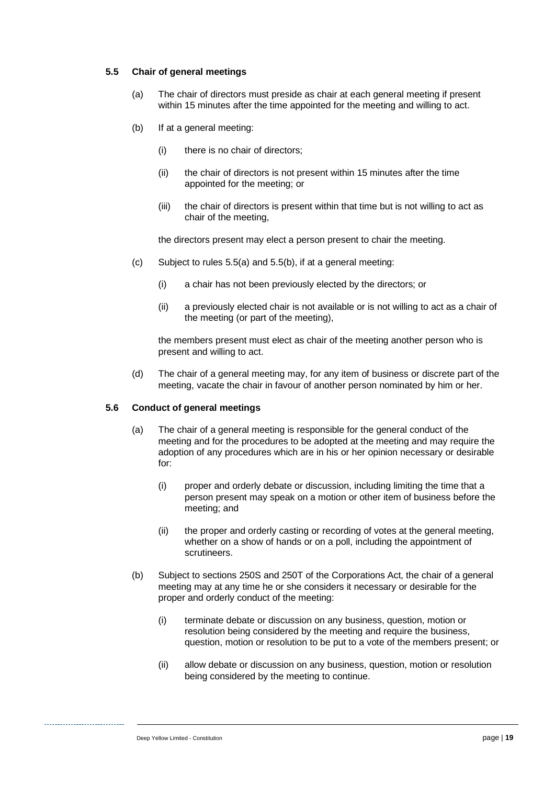#### <span id="page-23-1"></span>**5.5 Chair of general meetings**

- (a) The chair of directors must preside as chair at each general meeting if present within 15 minutes after the time appointed for the meeting and willing to act.
- <span id="page-23-2"></span>(b) If at a general meeting:
	- (i) there is no chair of directors;
	- (ii) the chair of directors is not present within 15 minutes after the time appointed for the meeting; or
	- (iii) the chair of directors is present within that time but is not willing to act as chair of the meeting,

the directors present may elect a person present to chair the meeting.

- (c) Subject to rules [5.5\(a\)](#page-23-1) and [5.5\(b\),](#page-23-2) if at a general meeting:
	- (i) a chair has not been previously elected by the directors; or
	- (ii) a previously elected chair is not available or is not willing to act as a chair of the meeting (or part of the meeting),

the members present must elect as chair of the meeting another person who is present and willing to act.

(d) The chair of a general meeting may, for any item of business or discrete part of the meeting, vacate the chair in favour of another person nominated by him or her.

#### <span id="page-23-3"></span><span id="page-23-0"></span>**5.6 Conduct of general meetings**

- (a) The chair of a general meeting is responsible for the general conduct of the meeting and for the procedures to be adopted at the meeting and may require the adoption of any procedures which are in his or her opinion necessary or desirable for:
	- (i) proper and orderly debate or discussion, including limiting the time that a person present may speak on a motion or other item of business before the meeting; and
	- (ii) the proper and orderly casting or recording of votes at the general meeting, whether on a show of hands or on a poll, including the appointment of scrutineers.
- <span id="page-23-4"></span>(b) Subject to sections 250S and 250T of the Corporations Act, the chair of a general meeting may at any time he or she considers it necessary or desirable for the proper and orderly conduct of the meeting:
	- (i) terminate debate or discussion on any business, question, motion or resolution being considered by the meeting and require the business, question, motion or resolution to be put to a vote of the members present; or
	- (ii) allow debate or discussion on any business, question, motion or resolution being considered by the meeting to continue.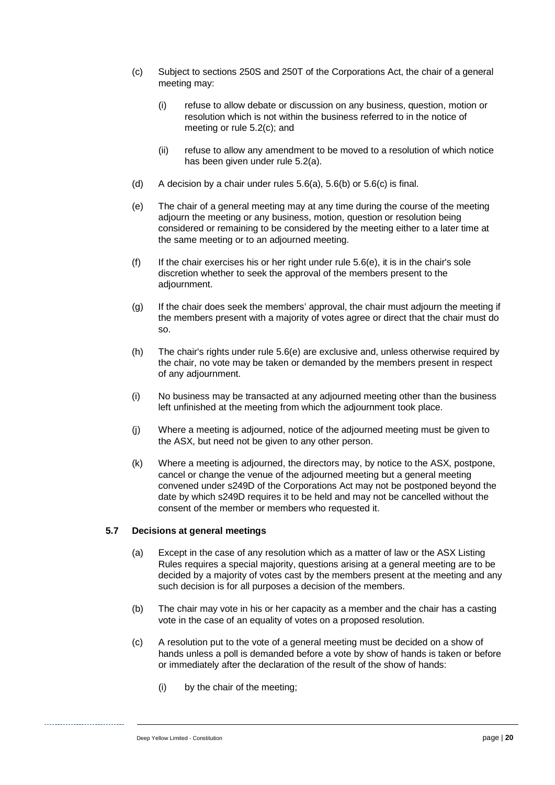- <span id="page-24-0"></span>(c) Subject to sections 250S and 250T of the Corporations Act, the chair of a general meeting may:
	- (i) refuse to allow debate or discussion on any business, question, motion or resolution which is not within the business referred to in the notice of meeting or rule [5.2\(c\);](#page-21-0) and
	- (ii) refuse to allow any amendment to be moved to a resolution of which notice has been given under rule [5.2\(a\).](#page-20-2)
- (d) A decision by a chair under rules  $5.6(a)$ ,  $5.6(b)$  or  $5.6(c)$  is final.
- <span id="page-24-1"></span>(e) The chair of a general meeting may at any time during the course of the meeting adjourn the meeting or any business, motion, question or resolution being considered or remaining to be considered by the meeting either to a later time at the same meeting or to an adjourned meeting.
- (f) If the chair exercises his or her right under rule  $5.6(e)$ , it is in the chair's sole discretion whether to seek the approval of the members present to the adjournment.
- (g) If the chair does seek the members' approval, the chair must adjourn the meeting if the members present with a majority of votes agree or direct that the chair must do so.
- (h) The chair's rights under rule [5.6\(e\)](#page-24-1) are exclusive and, unless otherwise required by the chair, no vote may be taken or demanded by the members present in respect of any adjournment.
- (i) No business may be transacted at any adjourned meeting other than the business left unfinished at the meeting from which the adjournment took place.
- (j) Where a meeting is adjourned, notice of the adjourned meeting must be given to the ASX, but need not be given to any other person.
- (k) Where a meeting is adjourned, the directors may, by notice to the ASX, postpone, cancel or change the venue of the adjourned meeting but a general meeting convened under s249D of the Corporations Act may not be postponed beyond the date by which s249D requires it to be held and may not be cancelled without the consent of the member or members who requested it.

#### **5.7 Decisions at general meetings**

- (a) Except in the case of any resolution which as a matter of law or the ASX Listing Rules requires a special majority, questions arising at a general meeting are to be decided by a majority of votes cast by the members present at the meeting and any such decision is for all purposes a decision of the members.
- (b) The chair may vote in his or her capacity as a member and the chair has a casting vote in the case of an equality of votes on a proposed resolution.
- (c) A resolution put to the vote of a general meeting must be decided on a show of hands unless a poll is demanded before a vote by show of hands is taken or before or immediately after the declaration of the result of the show of hands:
	- (i) by the chair of the meeting;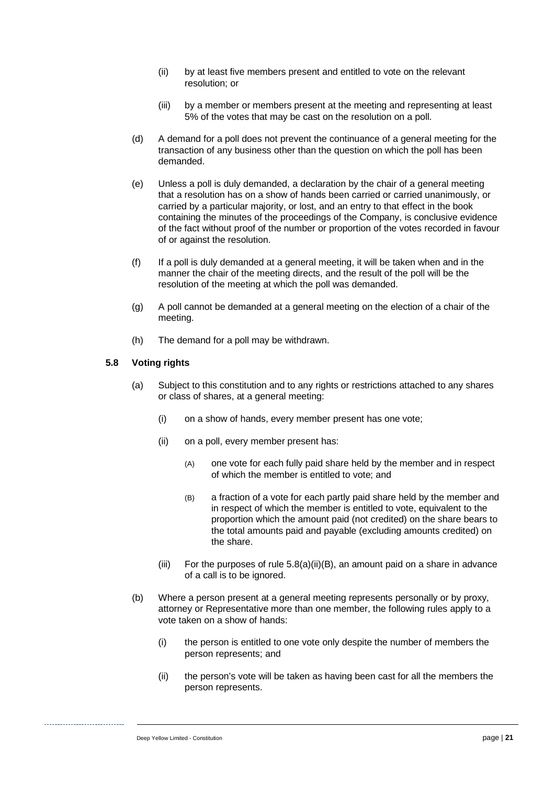- (ii) by at least five members present and entitled to vote on the relevant resolution; or
- (iii) by a member or members present at the meeting and representing at least 5% of the votes that may be cast on the resolution on a poll.
- (d) A demand for a poll does not prevent the continuance of a general meeting for the transaction of any business other than the question on which the poll has been demanded.
- (e) Unless a poll is duly demanded, a declaration by the chair of a general meeting that a resolution has on a show of hands been carried or carried unanimously, or carried by a particular majority, or lost, and an entry to that effect in the book containing the minutes of the proceedings of the Company, is conclusive evidence of the fact without proof of the number or proportion of the votes recorded in favour of or against the resolution.
- (f) If a poll is duly demanded at a general meeting, it will be taken when and in the manner the chair of the meeting directs, and the result of the poll will be the resolution of the meeting at which the poll was demanded.
- (g) A poll cannot be demanded at a general meeting on the election of a chair of the meeting.
- (h) The demand for a poll may be withdrawn.

#### **5.8 Voting rights**

- (a) Subject to this constitution and to any rights or restrictions attached to any shares or class of shares, at a general meeting:
	- (i) on a show of hands, every member present has one vote;
	- (ii) on a poll, every member present has:
		- (A) one vote for each fully paid share held by the member and in respect of which the member is entitled to vote; and
		- (B) a fraction of a vote for each partly paid share held by the member and in respect of which the member is entitled to vote, equivalent to the proportion which the amount paid (not credited) on the share bears to the total amounts paid and payable (excluding amounts credited) on the share.
	- (iii) For the purposes of rule  $5.8(a)(ii)(B)$ , an amount paid on a share in advance of a call is to be ignored.
- <span id="page-25-0"></span>(b) Where a person present at a general meeting represents personally or by proxy, attorney or Representative more than one member, the following rules apply to a vote taken on a show of hands:
	- (i) the person is entitled to one vote only despite the number of members the person represents; and
	- (ii) the person's vote will be taken as having been cast for all the members the person represents.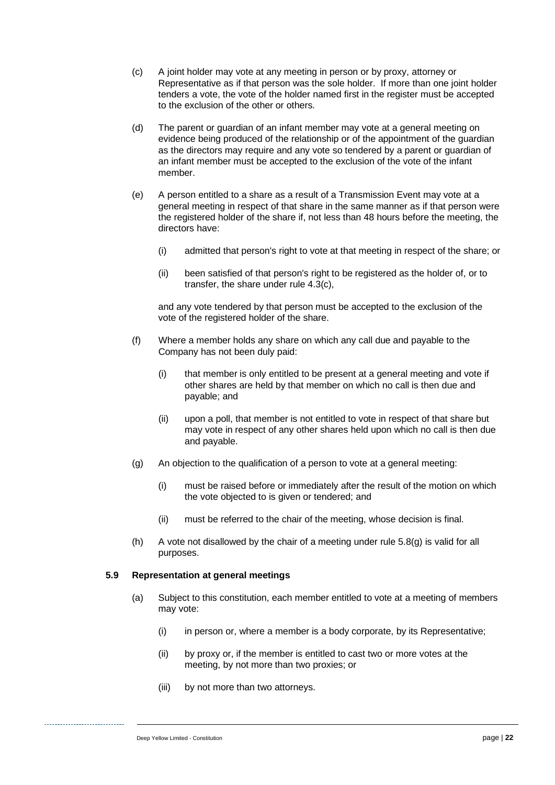- (c) A joint holder may vote at any meeting in person or by proxy, attorney or Representative as if that person was the sole holder. If more than one joint holder tenders a vote, the vote of the holder named first in the register must be accepted to the exclusion of the other or others.
- (d) The parent or guardian of an infant member may vote at a general meeting on evidence being produced of the relationship or of the appointment of the guardian as the directors may require and any vote so tendered by a parent or guardian of an infant member must be accepted to the exclusion of the vote of the infant member.
- (e) A person entitled to a share as a result of a Transmission Event may vote at a general meeting in respect of that share in the same manner as if that person were the registered holder of the share if, not less than 48 hours before the meeting, the directors have:
	- (i) admitted that person's right to vote at that meeting in respect of the share; or
	- (ii) been satisfied of that person's right to be registered as the holder of, or to transfer, the share under rule [4.3\(c\),](#page-19-6)

and any vote tendered by that person must be accepted to the exclusion of the vote of the registered holder of the share.

- (f) Where a member holds any share on which any call due and payable to the Company has not been duly paid:
	- (i) that member is only entitled to be present at a general meeting and vote if other shares are held by that member on which no call is then due and payable; and
	- (ii) upon a poll, that member is not entitled to vote in respect of that share but may vote in respect of any other shares held upon which no call is then due and payable.
- <span id="page-26-1"></span>(g) An objection to the qualification of a person to vote at a general meeting:
	- (i) must be raised before or immediately after the result of the motion on which the vote objected to is given or tendered; and
	- (ii) must be referred to the chair of the meeting, whose decision is final.
- (h) A vote not disallowed by the chair of a meeting under rule [5.8\(g\)](#page-26-1) is valid for all purposes.

#### <span id="page-26-0"></span>**5.9 Representation at general meetings**

- (a) Subject to this constitution, each member entitled to vote at a meeting of members may vote:
	- (i) in person or, where a member is a body corporate, by its Representative;
	- (ii) by proxy or, if the member is entitled to cast two or more votes at the meeting, by not more than two proxies; or
	- (iii) by not more than two attorneys.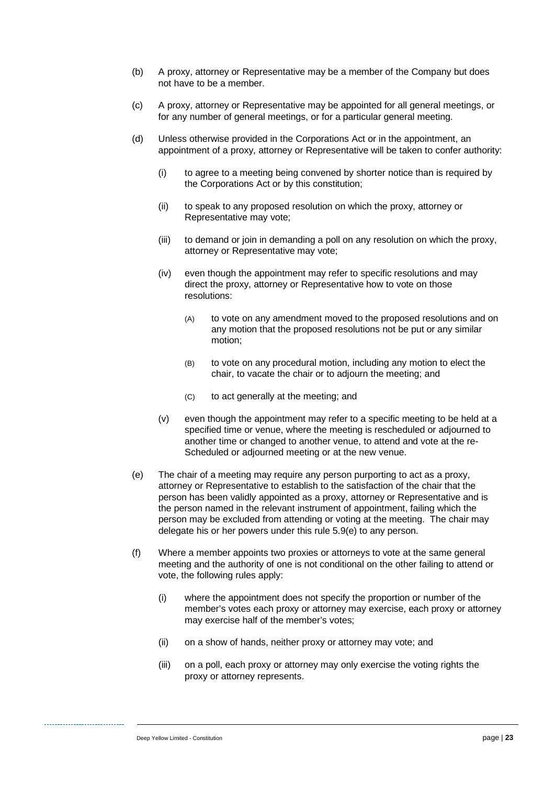- (b) A proxy, attorney or Representative may be a member of the Company but does not have to be a member.
- (c) A proxy, attorney or Representative may be appointed for all general meetings, or for any number of general meetings, or for a particular general meeting.
- (d) Unless otherwise provided in the Corporations Act or in the appointment, an appointment of a proxy, attorney or Representative will be taken to confer authority:
	- (i) to agree to a meeting being convened by shorter notice than is required by the Corporations Act or by this constitution;
	- (ii) to speak to any proposed resolution on which the proxy, attorney or Representative may vote;
	- (iii) to demand or join in demanding a poll on any resolution on which the proxy, attorney or Representative may vote;
	- (iv) even though the appointment may refer to specific resolutions and may direct the proxy, attorney or Representative how to vote on those resolutions:
		- (A) to vote on any amendment moved to the proposed resolutions and on any motion that the proposed resolutions not be put or any similar motion;
		- (B) to vote on any procedural motion, including any motion to elect the chair, to vacate the chair or to adjourn the meeting; and
		- (C) to act generally at the meeting; and
	- (v) even though the appointment may refer to a specific meeting to be held at a specified time or venue, where the meeting is rescheduled or adjourned to another time or changed to another venue, to attend and vote at the re-Scheduled or adjourned meeting or at the new venue.
- <span id="page-27-0"></span>(e) The chair of a meeting may require any person purporting to act as a proxy, attorney or Representative to establish to the satisfaction of the chair that the person has been validly appointed as a proxy, attorney or Representative and is the person named in the relevant instrument of appointment, failing which the person may be excluded from attending or voting at the meeting. The chair may delegate his or her powers under this rule [5.9\(e\)](#page-27-0) to any person.
- (f) Where a member appoints two proxies or attorneys to vote at the same general meeting and the authority of one is not conditional on the other failing to attend or vote, the following rules apply:
	- (i) where the appointment does not specify the proportion or number of the member's votes each proxy or attorney may exercise, each proxy or attorney may exercise half of the member's votes;
	- (ii) on a show of hands, neither proxy or attorney may vote; and
	- (iii) on a poll, each proxy or attorney may only exercise the voting rights the proxy or attorney represents.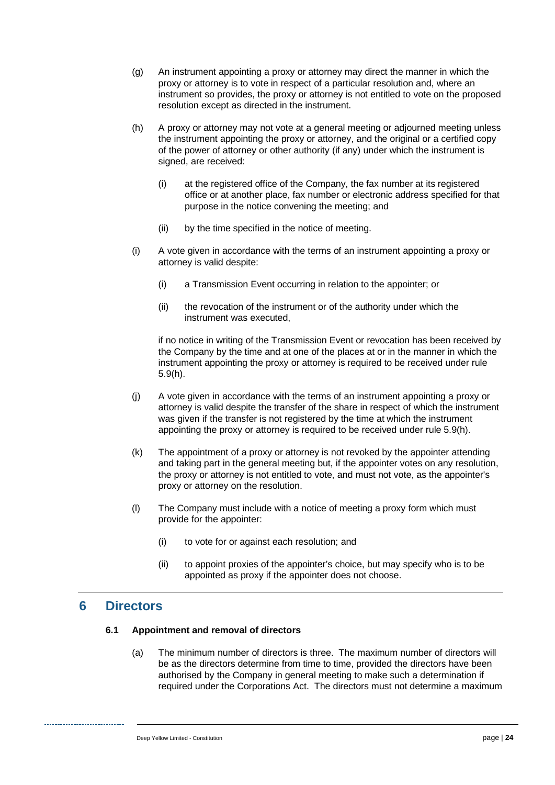- (g) An instrument appointing a proxy or attorney may direct the manner in which the proxy or attorney is to vote in respect of a particular resolution and, where an instrument so provides, the proxy or attorney is not entitled to vote on the proposed resolution except as directed in the instrument.
- <span id="page-28-0"></span>(h) A proxy or attorney may not vote at a general meeting or adjourned meeting unless the instrument appointing the proxy or attorney, and the original or a certified copy of the power of attorney or other authority (if any) under which the instrument is signed, are received:
	- (i) at the registered office of the Company, the fax number at its registered office or at another place, fax number or electronic address specified for that purpose in the notice convening the meeting; and
	- (ii) by the time specified in the notice of meeting.
- (i) A vote given in accordance with the terms of an instrument appointing a proxy or attorney is valid despite:
	- (i) a Transmission Event occurring in relation to the appointer; or
	- (ii) the revocation of the instrument or of the authority under which the instrument was executed,

if no notice in writing of the Transmission Event or revocation has been received by the Company by the time and at one of the places at or in the manner in which the instrument appointing the proxy or attorney is required to be received under rule [5.9\(h\).](#page-28-0)

- (j) A vote given in accordance with the terms of an instrument appointing a proxy or attorney is valid despite the transfer of the share in respect of which the instrument was given if the transfer is not registered by the time at which the instrument appointing the proxy or attorney is required to be received under rule [5.9\(h\).](#page-28-0)
- (k) The appointment of a proxy or attorney is not revoked by the appointer attending and taking part in the general meeting but, if the appointer votes on any resolution, the proxy or attorney is not entitled to vote, and must not vote, as the appointer's proxy or attorney on the resolution.
- (l) The Company must include with a notice of meeting a proxy form which must provide for the appointer:
	- (i) to vote for or against each resolution; and
	- (ii) to appoint proxies of the appointer's choice, but may specify who is to be appointed as proxy if the appointer does not choose.

## <span id="page-28-2"></span>**6 Directors**

#### <span id="page-28-1"></span>**6.1 Appointment and removal of directors**

(a) The minimum number of directors is three. The maximum number of directors will be as the directors determine from time to time, provided the directors have been authorised by the Company in general meeting to make such a determination if required under the Corporations Act. The directors must not determine a maximum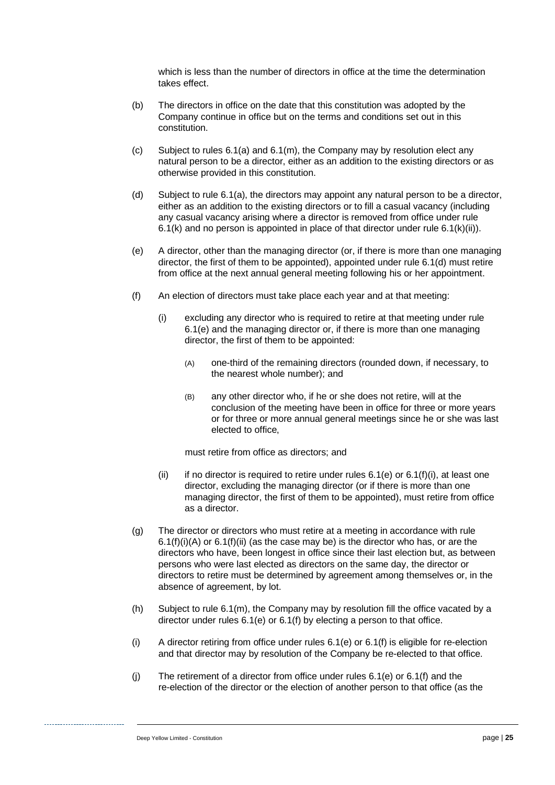which is less than the number of directors in office at the time the determination takes effect.

- (b) The directors in office on the date that this constitution was adopted by the Company continue in office but on the terms and conditions set out in this constitution.
- (c) Subject to rules [6.1\(a\)](#page-28-1) and [6.1\(m\),](#page-30-0) the Company may by resolution elect any natural person to be a director, either as an addition to the existing directors or as otherwise provided in this constitution.
- <span id="page-29-0"></span>(d) Subject to rule [6.1\(a\),](#page-28-1) the directors may appoint any natural person to be a director, either as an addition to the existing directors or to fill a casual vacancy (including any casual vacancy arising where a director is removed from office under rule [6.1\(k\)](#page-30-1) and no person is appointed in place of that director under rule  $6.1(k)(ii)$ .
- <span id="page-29-1"></span>(e) A director, other than the managing director (or, if there is more than one managing director, the first of them to be appointed), appointed under rule [6.1\(d\)](#page-29-0) must retire from office at the next annual general meeting following his or her appointment.
- <span id="page-29-5"></span><span id="page-29-3"></span><span id="page-29-2"></span>(f) An election of directors must take place each year and at that meeting:
	- (i) excluding any director who is required to retire at that meeting under rule [6.1\(e\)](#page-29-1) and the managing director or, if there is more than one managing director, the first of them to be appointed:
		- (A) one-third of the remaining directors (rounded down, if necessary, to the nearest whole number); and
		- (B) any other director who, if he or she does not retire, will at the conclusion of the meeting have been in office for three or more years or for three or more annual general meetings since he or she was last elected to office,

must retire from office as directors; and

- (ii) if no director is required to retire under rules  $6.1(e)$  or  $6.1(f)(i)$ , at least one director, excluding the managing director (or if there is more than one managing director, the first of them to be appointed), must retire from office as a director.
- <span id="page-29-4"></span>(g) The director or directors who must retire at a meeting in accordance with rule  $6.1(f)(i)(A)$  or  $6.1(f)(ii)$  (as the case may be) is the director who has, or are the directors who have, been longest in office since their last election but, as between persons who were last elected as directors on the same day, the director or directors to retire must be determined by agreement among themselves or, in the absence of agreement, by lot.
- (h) Subject to rule [6.1\(m\),](#page-30-0) the Company may by resolution fill the office vacated by a director under rules [6.1\(e\)](#page-29-1) or [6.1\(f\)](#page-29-5) by electing a person to that office.
- (i) A director retiring from office under rules [6.1\(e\)](#page-29-1) or [6.1\(f\)](#page-29-5) is eligible for re-election and that director may by resolution of the Company be re-elected to that office.
- (j) The retirement of a director from office under rules [6.1\(e\)](#page-29-1) or [6.1\(f\)](#page-29-5) and the re-election of the director or the election of another person to that office (as the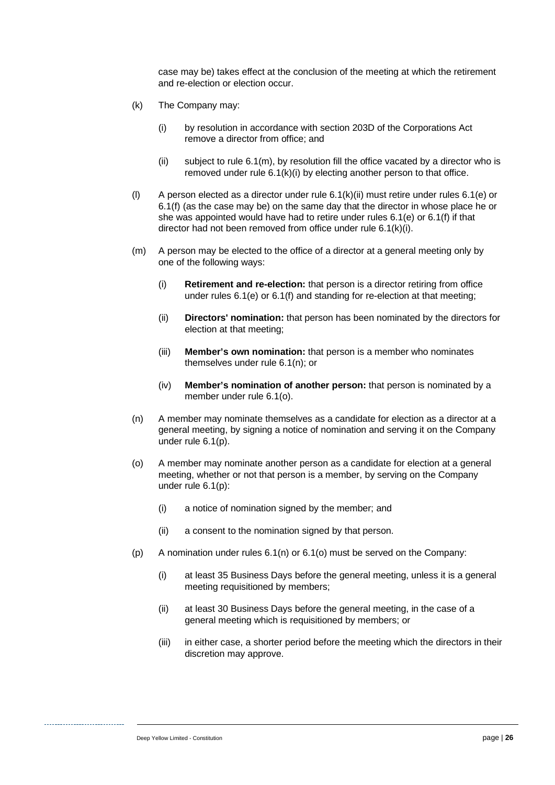case may be) takes effect at the conclusion of the meeting at which the retirement and re-election or election occur.

- <span id="page-30-3"></span><span id="page-30-1"></span>(k) The Company may:
	- (i) by resolution in accordance with section 203D of the Corporations Act remove a director from office; and
	- $(iii)$  subject to rule  $6.1(m)$ , by resolution fill the office vacated by a director who is removed under rule [6.1\(k\)\(i\)](#page-30-3) by electing another person to that office.
- <span id="page-30-2"></span>(l) A person elected as a director under rule [6.1\(k\)\(ii\)](#page-30-2) must retire under rules [6.1\(e\)](#page-29-1) or [6.1\(f\)](#page-29-5) (as the case may be) on the same day that the director in whose place he or she was appointed would have had to retire under rules [6.1\(e\)](#page-29-1) or [6.1\(f\)](#page-29-5) if that director had not been removed from office under rule [6.1\(k\)\(i\).](#page-30-3)
- <span id="page-30-0"></span>(m) A person may be elected to the office of a director at a general meeting only by one of the following ways:
	- (i) **Retirement and re-election:** that person is a director retiring from office under rules [6.1\(e\)](#page-29-1) or [6.1\(f\)](#page-29-5) and standing for re-election at that meeting;
	- (ii) **Directors' nomination:** that person has been nominated by the directors for election at that meeting;
	- (iii) **Member's own nomination:** that person is a member who nominates themselves under rule [6.1\(n\);](#page-30-4) or
	- (iv) **Member's nomination of another person:** that person is nominated by a member under rule [6.1\(o\).](#page-30-5)
- <span id="page-30-4"></span>(n) A member may nominate themselves as a candidate for election as a director at a general meeting, by signing a notice of nomination and serving it on the Company under rule [6.1\(p\).](#page-30-6)
- <span id="page-30-5"></span>(o) A member may nominate another person as a candidate for election at a general meeting, whether or not that person is a member, by serving on the Company under rule [6.1\(p\):](#page-30-6)
	- (i) a notice of nomination signed by the member; and
	- (ii) a consent to the nomination signed by that person.
- <span id="page-30-6"></span>(p) A nomination under rules [6.1\(n\)](#page-30-4) or [6.1\(o\)](#page-30-5) must be served on the Company:
	- (i) at least 35 Business Days before the general meeting, unless it is a general meeting requisitioned by members;
	- (ii) at least 30 Business Days before the general meeting, in the case of a general meeting which is requisitioned by members; or
	- (iii) in either case, a shorter period before the meeting which the directors in their discretion may approve.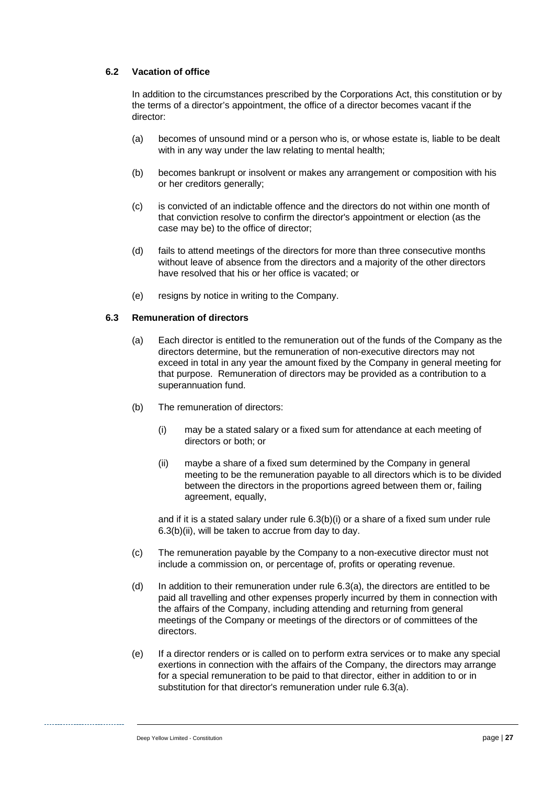#### **6.2 Vacation of office**

In addition to the circumstances prescribed by the Corporations Act, this constitution or by the terms of a director's appointment, the office of a director becomes vacant if the director:

- (a) becomes of unsound mind or a person who is, or whose estate is, liable to be dealt with in any way under the law relating to mental health;
- (b) becomes bankrupt or insolvent or makes any arrangement or composition with his or her creditors generally;
- (c) is convicted of an indictable offence and the directors do not within one month of that conviction resolve to confirm the director's appointment or election (as the case may be) to the office of director;
- (d) fails to attend meetings of the directors for more than three consecutive months without leave of absence from the directors and a majority of the other directors have resolved that his or her office is vacated; or
- (e) resigns by notice in writing to the Company.

#### <span id="page-31-3"></span><span id="page-31-2"></span>**6.3 Remuneration of directors**

- (a) Each director is entitled to the remuneration out of the funds of the Company as the directors determine, but the remuneration of non-executive directors may not exceed in total in any year the amount fixed by the Company in general meeting for that purpose. Remuneration of directors may be provided as a contribution to a superannuation fund.
- <span id="page-31-1"></span><span id="page-31-0"></span>(b) The remuneration of directors:
	- (i) may be a stated salary or a fixed sum for attendance at each meeting of directors or both; or
	- (ii) maybe a share of a fixed sum determined by the Company in general meeting to be the remuneration payable to all directors which is to be divided between the directors in the proportions agreed between them or, failing agreement, equally,

and if it is a stated salary under rule [6.3\(b\)\(i\)](#page-31-0) or a share of a fixed sum under rule [6.3\(b\)\(ii\),](#page-31-1) will be taken to accrue from day to day.

- (c) The remuneration payable by the Company to a non-executive director must not include a commission on, or percentage of, profits or operating revenue.
- (d) In addition to their remuneration under rule  $6.3(a)$ , the directors are entitled to be paid all travelling and other expenses properly incurred by them in connection with the affairs of the Company, including attending and returning from general meetings of the Company or meetings of the directors or of committees of the directors.
- <span id="page-31-4"></span>(e) If a director renders or is called on to perform extra services or to make any special exertions in connection with the affairs of the Company, the directors may arrange for a special remuneration to be paid to that director, either in addition to or in substitution for that director's remuneration under rule [6.3\(a\).](#page-31-2)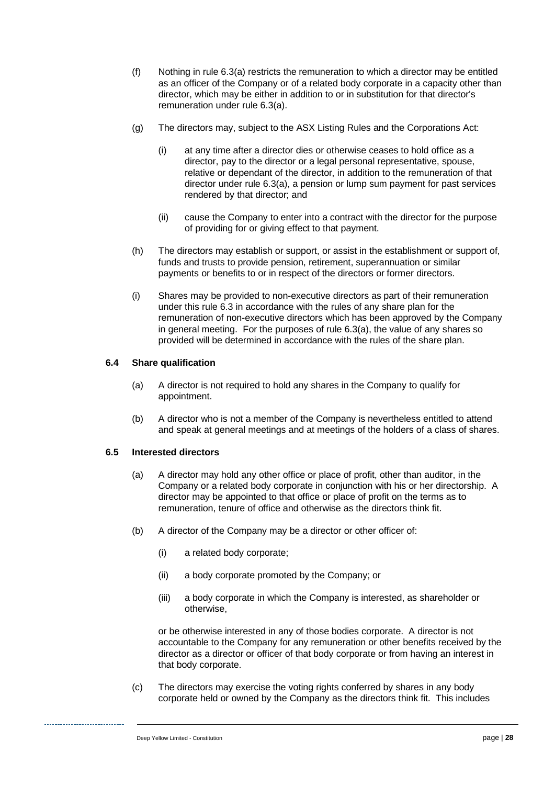- (f) Nothing in rule [6.3\(a\)](#page-31-2) restricts the remuneration to which a director may be entitled as an officer of the Company or of a related body corporate in a capacity other than director, which may be either in addition to or in substitution for that director's remuneration under rule [6.3\(a\).](#page-31-2)
- (g) The directors may, subject to the ASX Listing Rules and the Corporations Act:
	- (i) at any time after a director dies or otherwise ceases to hold office as a director, pay to the director or a legal personal representative, spouse, relative or dependant of the director, in addition to the remuneration of that director under rule [6.3\(a\),](#page-31-2) a pension or lump sum payment for past services rendered by that director; and
	- (ii) cause the Company to enter into a contract with the director for the purpose of providing for or giving effect to that payment.
- (h) The directors may establish or support, or assist in the establishment or support of, funds and trusts to provide pension, retirement, superannuation or similar payments or benefits to or in respect of the directors or former directors.
- (i) Shares may be provided to non-executive directors as part of their remuneration under this rule [6.3](#page-31-3) in accordance with the rules of any share plan for the remuneration of non-executive directors which has been approved by the Company in general meeting. For the purposes of rule [6.3\(a\),](#page-31-2) the value of any shares so provided will be determined in accordance with the rules of the share plan.

#### **6.4 Share qualification**

- (a) A director is not required to hold any shares in the Company to qualify for appointment.
- (b) A director who is not a member of the Company is nevertheless entitled to attend and speak at general meetings and at meetings of the holders of a class of shares.

#### **6.5 Interested directors**

- (a) A director may hold any other office or place of profit, other than auditor, in the Company or a related body corporate in conjunction with his or her directorship. A director may be appointed to that office or place of profit on the terms as to remuneration, tenure of office and otherwise as the directors think fit.
- (b) A director of the Company may be a director or other officer of:
	- (i) a related body corporate;
	- (ii) a body corporate promoted by the Company; or
	- (iii) a body corporate in which the Company is interested, as shareholder or otherwise,

or be otherwise interested in any of those bodies corporate. A director is not accountable to the Company for any remuneration or other benefits received by the director as a director or officer of that body corporate or from having an interest in that body corporate.

(c) The directors may exercise the voting rights conferred by shares in any body corporate held or owned by the Company as the directors think fit. This includes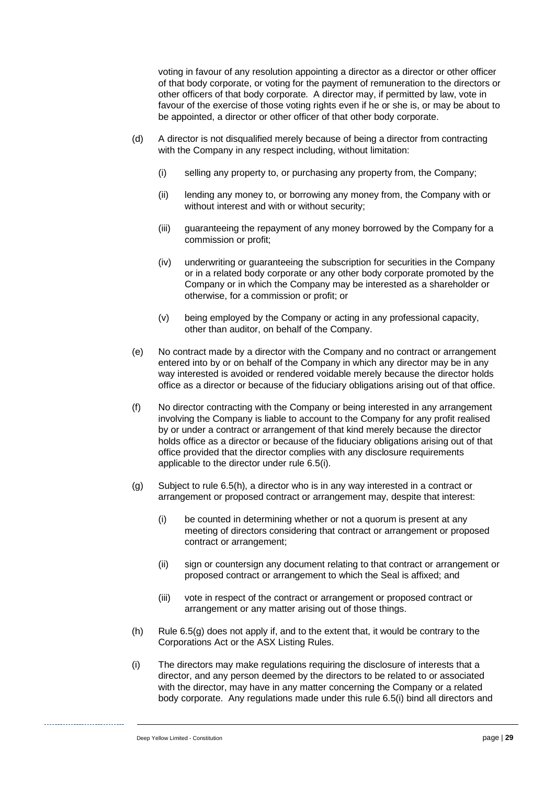voting in favour of any resolution appointing a director as a director or other officer of that body corporate, or voting for the payment of remuneration to the directors or other officers of that body corporate. A director may, if permitted by law, vote in favour of the exercise of those voting rights even if he or she is, or may be about to be appointed, a director or other officer of that other body corporate.

- (d) A director is not disqualified merely because of being a director from contracting with the Company in any respect including, without limitation:
	- (i) selling any property to, or purchasing any property from, the Company;
	- (ii) lending any money to, or borrowing any money from, the Company with or without interest and with or without security;
	- (iii) guaranteeing the repayment of any money borrowed by the Company for a commission or profit;
	- (iv) underwriting or guaranteeing the subscription for securities in the Company or in a related body corporate or any other body corporate promoted by the Company or in which the Company may be interested as a shareholder or otherwise, for a commission or profit; or
	- (v) being employed by the Company or acting in any professional capacity, other than auditor, on behalf of the Company.
- (e) No contract made by a director with the Company and no contract or arrangement entered into by or on behalf of the Company in which any director may be in any way interested is avoided or rendered voidable merely because the director holds office as a director or because of the fiduciary obligations arising out of that office.
- (f) No director contracting with the Company or being interested in any arrangement involving the Company is liable to account to the Company for any profit realised by or under a contract or arrangement of that kind merely because the director holds office as a director or because of the fiduciary obligations arising out of that office provided that the director complies with any disclosure requirements applicable to the director under rule [6.5\(i\).](#page-33-0)
- <span id="page-33-2"></span>(g) Subject to rule [6.5\(h\),](#page-33-1) a director who is in any way interested in a contract or arrangement or proposed contract or arrangement may, despite that interest:
	- (i) be counted in determining whether or not a quorum is present at any meeting of directors considering that contract or arrangement or proposed contract or arrangement;
	- (ii) sign or countersign any document relating to that contract or arrangement or proposed contract or arrangement to which the Seal is affixed; and
	- (iii) vote in respect of the contract or arrangement or proposed contract or arrangement or any matter arising out of those things.
- <span id="page-33-1"></span>(h) Rule [6.5\(g\)](#page-33-2) does not apply if, and to the extent that, it would be contrary to the Corporations Act or the ASX Listing Rules.
- <span id="page-33-0"></span>(i) The directors may make regulations requiring the disclosure of interests that a director, and any person deemed by the directors to be related to or associated with the director, may have in any matter concerning the Company or a related body corporate. Any regulations made under this rule [6.5\(i\)](#page-33-0) bind all directors and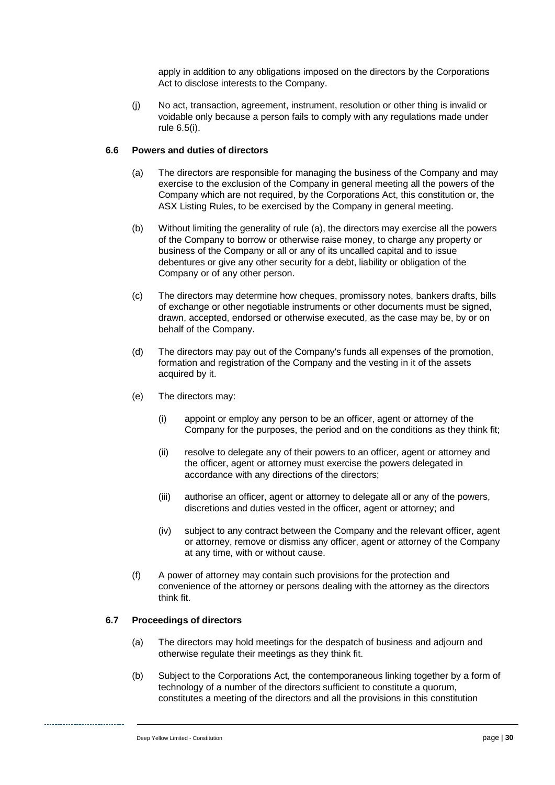apply in addition to any obligations imposed on the directors by the Corporations Act to disclose interests to the Company.

(j) No act, transaction, agreement, instrument, resolution or other thing is invalid or voidable only because a person fails to comply with any regulations made under rule [6.5\(i\).](#page-33-0)

#### <span id="page-34-0"></span>**6.6 Powers and duties of directors**

- (a) The directors are responsible for managing the business of the Company and may exercise to the exclusion of the Company in general meeting all the powers of the Company which are not required, by the Corporations Act, this constitution or, the ASX Listing Rules, to be exercised by the Company in general meeting.
- (b) Without limiting the generality of rule [\(a\),](#page-34-0) the directors may exercise all the powers of the Company to borrow or otherwise raise money, to charge any property or business of the Company or all or any of its uncalled capital and to issue debentures or give any other security for a debt, liability or obligation of the Company or of any other person.
- (c) The directors may determine how cheques, promissory notes, bankers drafts, bills of exchange or other negotiable instruments or other documents must be signed, drawn, accepted, endorsed or otherwise executed, as the case may be, by or on behalf of the Company.
- (d) The directors may pay out of the Company's funds all expenses of the promotion, formation and registration of the Company and the vesting in it of the assets acquired by it.
- (e) The directors may:
	- (i) appoint or employ any person to be an officer, agent or attorney of the Company for the purposes, the period and on the conditions as they think fit;
	- (ii) resolve to delegate any of their powers to an officer, agent or attorney and the officer, agent or attorney must exercise the powers delegated in accordance with any directions of the directors;
	- (iii) authorise an officer, agent or attorney to delegate all or any of the powers, discretions and duties vested in the officer, agent or attorney; and
	- (iv) subject to any contract between the Company and the relevant officer, agent or attorney, remove or dismiss any officer, agent or attorney of the Company at any time, with or without cause.
- (f) A power of attorney may contain such provisions for the protection and convenience of the attorney or persons dealing with the attorney as the directors think fit.

#### **6.7 Proceedings of directors**

- (a) The directors may hold meetings for the despatch of business and adjourn and otherwise regulate their meetings as they think fit.
- (b) Subject to the Corporations Act, the contemporaneous linking together by a form of technology of a number of the directors sufficient to constitute a quorum, constitutes a meeting of the directors and all the provisions in this constitution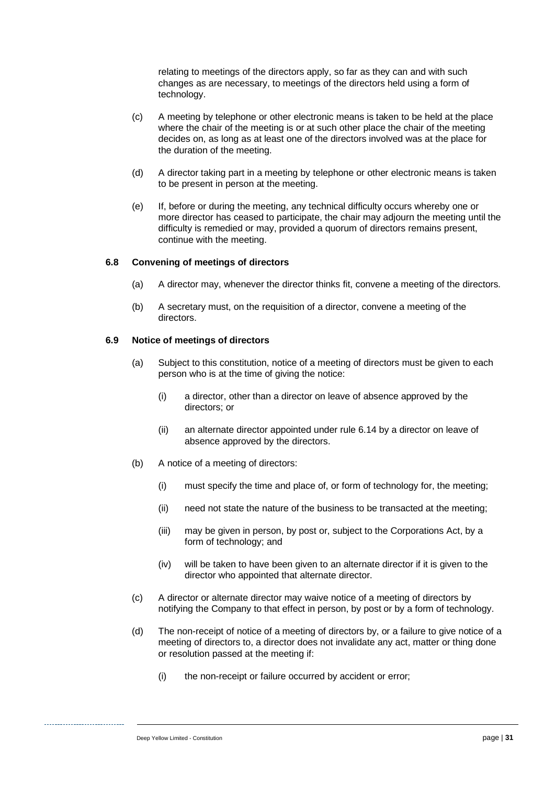relating to meetings of the directors apply, so far as they can and with such changes as are necessary, to meetings of the directors held using a form of technology.

- (c) A meeting by telephone or other electronic means is taken to be held at the place where the chair of the meeting is or at such other place the chair of the meeting decides on, as long as at least one of the directors involved was at the place for the duration of the meeting.
- (d) A director taking part in a meeting by telephone or other electronic means is taken to be present in person at the meeting.
- (e) If, before or during the meeting, any technical difficulty occurs whereby one or more director has ceased to participate, the chair may adjourn the meeting until the difficulty is remedied or may, provided a quorum of directors remains present, continue with the meeting.

#### **6.8 Convening of meetings of directors**

- (a) A director may, whenever the director thinks fit, convene a meeting of the directors.
- (b) A secretary must, on the requisition of a director, convene a meeting of the directors.

#### **6.9 Notice of meetings of directors**

- (a) Subject to this constitution, notice of a meeting of directors must be given to each person who is at the time of giving the notice:
	- (i) a director, other than a director on leave of absence approved by the directors; or
	- (ii) an alternate director appointed under rule [6.14](#page-38-0) by a director on leave of absence approved by the directors.
- (b) A notice of a meeting of directors:
	- (i) must specify the time and place of, or form of technology for, the meeting;
	- (ii) need not state the nature of the business to be transacted at the meeting;
	- (iii) may be given in person, by post or, subject to the Corporations Act, by a form of technology; and
	- (iv) will be taken to have been given to an alternate director if it is given to the director who appointed that alternate director.
- <span id="page-35-0"></span>(c) A director or alternate director may waive notice of a meeting of directors by notifying the Company to that effect in person, by post or by a form of technology.
- (d) The non-receipt of notice of a meeting of directors by, or a failure to give notice of a meeting of directors to, a director does not invalidate any act, matter or thing done or resolution passed at the meeting if:
	- (i) the non-receipt or failure occurred by accident or error;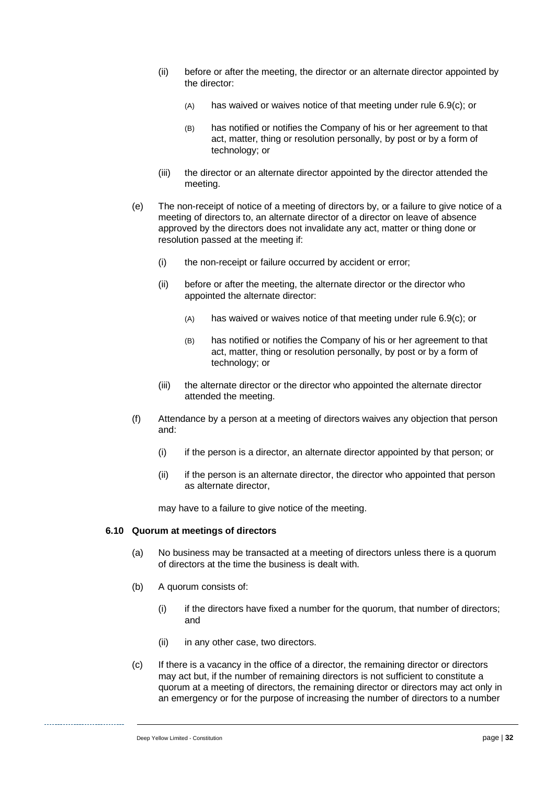- (ii) before or after the meeting, the director or an alternate director appointed by the director:
	- (A) has waived or waives notice of that meeting under rule [6.9\(c\);](#page-35-0) or
	- (B) has notified or notifies the Company of his or her agreement to that act, matter, thing or resolution personally, by post or by a form of technology; or
- (iii) the director or an alternate director appointed by the director attended the meeting.
- (e) The non-receipt of notice of a meeting of directors by, or a failure to give notice of a meeting of directors to, an alternate director of a director on leave of absence approved by the directors does not invalidate any act, matter or thing done or resolution passed at the meeting if:
	- (i) the non-receipt or failure occurred by accident or error;
	- (ii) before or after the meeting, the alternate director or the director who appointed the alternate director:
		- (A) has waived or waives notice of that meeting under rule [6.9\(c\);](#page-35-0) or
		- (B) has notified or notifies the Company of his or her agreement to that act, matter, thing or resolution personally, by post or by a form of technology; or
	- (iii) the alternate director or the director who appointed the alternate director attended the meeting.
- (f) Attendance by a person at a meeting of directors waives any objection that person and:
	- (i) if the person is a director, an alternate director appointed by that person; or
	- (ii) if the person is an alternate director, the director who appointed that person as alternate director,

may have to a failure to give notice of the meeting.

#### **6.10 Quorum at meetings of directors**

- (a) No business may be transacted at a meeting of directors unless there is a quorum of directors at the time the business is dealt with.
- (b) A quorum consists of:
	- (i) if the directors have fixed a number for the quorum, that number of directors; and
	- (ii) in any other case, two directors.
- (c) If there is a vacancy in the office of a director, the remaining director or directors may act but, if the number of remaining directors is not sufficient to constitute a quorum at a meeting of directors, the remaining director or directors may act only in an emergency or for the purpose of increasing the number of directors to a number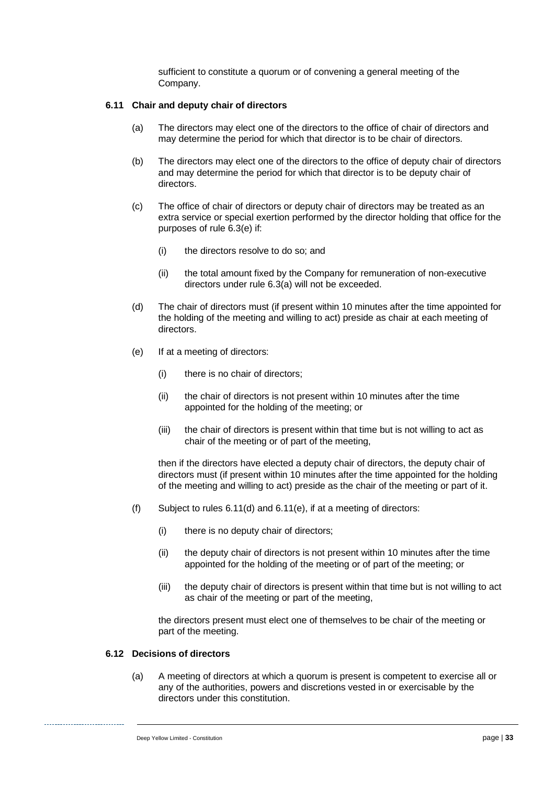sufficient to constitute a quorum or of convening a general meeting of the Company.

#### **6.11 Chair and deputy chair of directors**

- (a) The directors may elect one of the directors to the office of chair of directors and may determine the period for which that director is to be chair of directors.
- (b) The directors may elect one of the directors to the office of deputy chair of directors and may determine the period for which that director is to be deputy chair of directors.
- (c) The office of chair of directors or deputy chair of directors may be treated as an extra service or special exertion performed by the director holding that office for the purposes of rule [6.3\(e\)](#page-31-4) if:
	- (i) the directors resolve to do so; and
	- (ii) the total amount fixed by the Company for remuneration of non-executive directors under rule [6.3\(a\)](#page-31-2) will not be exceeded.
- <span id="page-37-0"></span>(d) The chair of directors must (if present within 10 minutes after the time appointed for the holding of the meeting and willing to act) preside as chair at each meeting of directors.
- <span id="page-37-1"></span>(e) If at a meeting of directors:
	- (i) there is no chair of directors;
	- (ii) the chair of directors is not present within 10 minutes after the time appointed for the holding of the meeting; or
	- (iii) the chair of directors is present within that time but is not willing to act as chair of the meeting or of part of the meeting,

then if the directors have elected a deputy chair of directors, the deputy chair of directors must (if present within 10 minutes after the time appointed for the holding of the meeting and willing to act) preside as the chair of the meeting or part of it.

- (f) Subject to rules [6.11\(d\)](#page-37-0) and [6.11\(e\),](#page-37-1) if at a meeting of directors:
	- (i) there is no deputy chair of directors;
	- (ii) the deputy chair of directors is not present within 10 minutes after the time appointed for the holding of the meeting or of part of the meeting; or
	- (iii) the deputy chair of directors is present within that time but is not willing to act as chair of the meeting or part of the meeting,

the directors present must elect one of themselves to be chair of the meeting or part of the meeting.

#### **6.12 Decisions of directors**

(a) A meeting of directors at which a quorum is present is competent to exercise all or any of the authorities, powers and discretions vested in or exercisable by the directors under this constitution.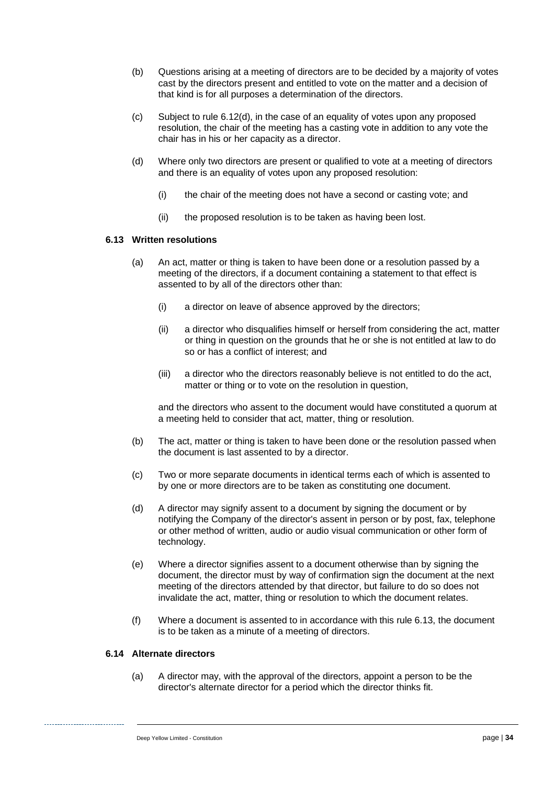- (b) Questions arising at a meeting of directors are to be decided by a majority of votes cast by the directors present and entitled to vote on the matter and a decision of that kind is for all purposes a determination of the directors.
- (c) Subject to rule [6.12\(d\),](#page-38-1) in the case of an equality of votes upon any proposed resolution, the chair of the meeting has a casting vote in addition to any vote the chair has in his or her capacity as a director.
- <span id="page-38-1"></span>(d) Where only two directors are present or qualified to vote at a meeting of directors and there is an equality of votes upon any proposed resolution:
	- (i) the chair of the meeting does not have a second or casting vote; and
	- (ii) the proposed resolution is to be taken as having been lost.

#### <span id="page-38-2"></span>**6.13 Written resolutions**

- (a) An act, matter or thing is taken to have been done or a resolution passed by a meeting of the directors, if a document containing a statement to that effect is assented to by all of the directors other than:
	- (i) a director on leave of absence approved by the directors;
	- (ii) a director who disqualifies himself or herself from considering the act, matter or thing in question on the grounds that he or she is not entitled at law to do so or has a conflict of interest; and
	- (iii) a director who the directors reasonably believe is not entitled to do the act, matter or thing or to vote on the resolution in question,

and the directors who assent to the document would have constituted a quorum at a meeting held to consider that act, matter, thing or resolution.

- (b) The act, matter or thing is taken to have been done or the resolution passed when the document is last assented to by a director.
- (c) Two or more separate documents in identical terms each of which is assented to by one or more directors are to be taken as constituting one document.
- (d) A director may signify assent to a document by signing the document or by notifying the Company of the director's assent in person or by post, fax, telephone or other method of written, audio or audio visual communication or other form of technology.
- (e) Where a director signifies assent to a document otherwise than by signing the document, the director must by way of confirmation sign the document at the next meeting of the directors attended by that director, but failure to do so does not invalidate the act, matter, thing or resolution to which the document relates.
- (f) Where a document is assented to in accordance with this rule [6.13,](#page-38-2) the document is to be taken as a minute of a meeting of directors.

#### <span id="page-38-0"></span>**6.14 Alternate directors**

(a) A director may, with the approval of the directors, appoint a person to be the director's alternate director for a period which the director thinks fit.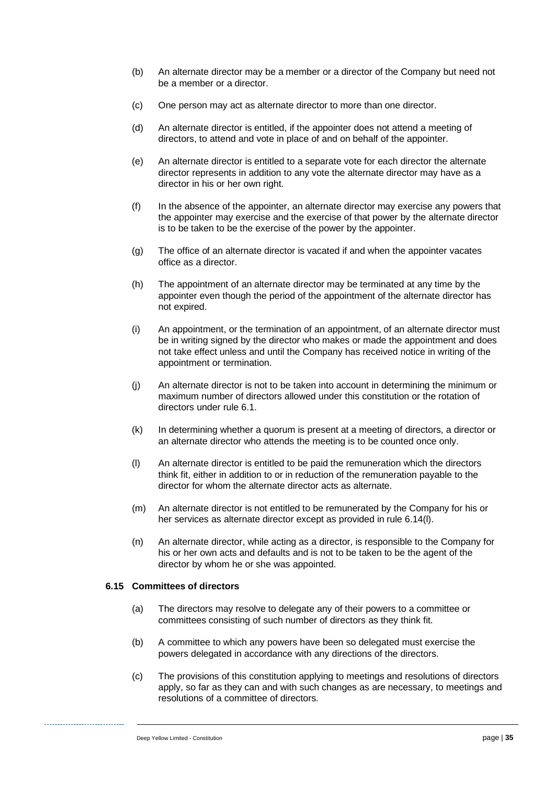- (b) An alternate director may be a member or a director of the Company but need not be a member or a director.
- (c) One person may act as alternate director to more than one director.
- (d) An alternate director is entitled, if the appointer does not attend a meeting of directors, to attend and vote in place of and on behalf of the appointer.
- (e) An alternate director is entitled to a separate vote for each director the alternate director represents in addition to any vote the alternate director may have as a director in his or her own right.
- (f) In the absence of the appointer, an alternate director may exercise any powers that the appointer may exercise and the exercise of that power by the alternate director is to be taken to be the exercise of the power by the appointer.
- (g) The office of an alternate director is vacated if and when the appointer vacates office as a director.
- (h) The appointment of an alternate director may be terminated at any time by the appointer even though the period of the appointment of the alternate director has not expired.
- (i) An appointment, or the termination of an appointment, of an alternate director must be in writing signed by the director who makes or made the appointment and does not take effect unless and until the Company has received notice in writing of the appointment or termination.
- (j) An alternate director is not to be taken into account in determining the minimum or maximum number of directors allowed under this constitution or the rotation of directors under rule [6.1.](#page-28-2)
- (k) In determining whether a quorum is present at a meeting of directors, a director or an alternate director who attends the meeting is to be counted once only.
- <span id="page-39-0"></span>(l) An alternate director is entitled to be paid the remuneration which the directors think fit, either in addition to or in reduction of the remuneration payable to the director for whom the alternate director acts as alternate.
- (m) An alternate director is not entitled to be remunerated by the Company for his or her services as alternate director except as provided in rule [6.14\(l\).](#page-39-0)
- (n) An alternate director, while acting as a director, is responsible to the Company for his or her own acts and defaults and is not to be taken to be the agent of the director by whom he or she was appointed.

#### **6.15 Committees of directors**

- (a) The directors may resolve to delegate any of their powers to a committee or committees consisting of such number of directors as they think fit.
- (b) A committee to which any powers have been so delegated must exercise the powers delegated in accordance with any directions of the directors.
- (c) The provisions of this constitution applying to meetings and resolutions of directors apply, so far as they can and with such changes as are necessary, to meetings and resolutions of a committee of directors.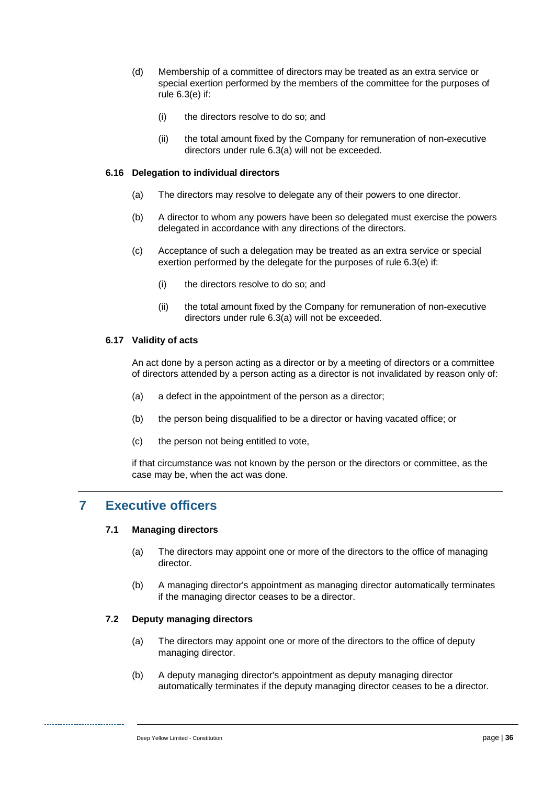- (d) Membership of a committee of directors may be treated as an extra service or special exertion performed by the members of the committee for the purposes of rule [6.3\(e\)](#page-31-4) if:
	- (i) the directors resolve to do so; and
	- (ii) the total amount fixed by the Company for remuneration of non-executive directors under rule [6.3\(a\)](#page-31-2) will not be exceeded.

#### **6.16 Delegation to individual directors**

- (a) The directors may resolve to delegate any of their powers to one director.
- (b) A director to whom any powers have been so delegated must exercise the powers delegated in accordance with any directions of the directors.
- (c) Acceptance of such a delegation may be treated as an extra service or special exertion performed by the delegate for the purposes of rule [6.3\(e\)](#page-31-4) if:
	- (i) the directors resolve to do so; and
	- (ii) the total amount fixed by the Company for remuneration of non-executive directors under rule [6.3\(a\)](#page-31-2) will not be exceeded.

#### **6.17 Validity of acts**

An act done by a person acting as a director or by a meeting of directors or a committee of directors attended by a person acting as a director is not invalidated by reason only of:

- (a) a defect in the appointment of the person as a director;
- (b) the person being disqualified to be a director or having vacated office; or
- (c) the person not being entitled to vote,

if that circumstance was not known by the person or the directors or committee, as the case may be, when the act was done.

## <span id="page-40-0"></span>**7 Executive officers**

#### **7.1 Managing directors**

- (a) The directors may appoint one or more of the directors to the office of managing director.
- (b) A managing director's appointment as managing director automatically terminates if the managing director ceases to be a director.

#### **7.2 Deputy managing directors**

- (a) The directors may appoint one or more of the directors to the office of deputy managing director.
- (b) A deputy managing director's appointment as deputy managing director automatically terminates if the deputy managing director ceases to be a director.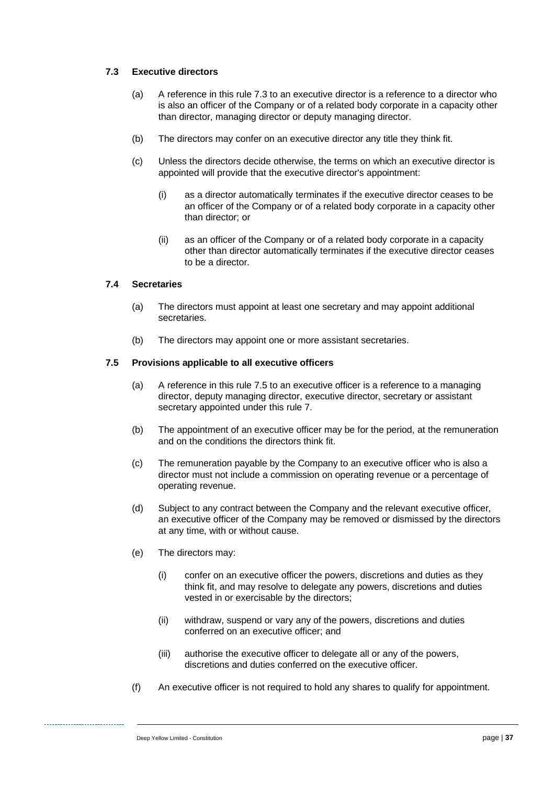#### <span id="page-41-0"></span>**7.3 Executive directors**

- (a) A reference in this rule [7.3](#page-41-0) to an executive director is a reference to a director who is also an officer of the Company or of a related body corporate in a capacity other than director, managing director or deputy managing director.
- (b) The directors may confer on an executive director any title they think fit.
- (c) Unless the directors decide otherwise, the terms on which an executive director is appointed will provide that the executive director's appointment:
	- (i) as a director automatically terminates if the executive director ceases to be an officer of the Company or of a related body corporate in a capacity other than director; or
	- (ii) as an officer of the Company or of a related body corporate in a capacity other than director automatically terminates if the executive director ceases to be a director.

#### **7.4 Secretaries**

- (a) The directors must appoint at least one secretary and may appoint additional secretaries.
- (b) The directors may appoint one or more assistant secretaries.

#### <span id="page-41-2"></span><span id="page-41-1"></span>**7.5 Provisions applicable to all executive officers**

- (a) A reference in this rule [7.5](#page-41-1) to an executive officer is a reference to a managing director, deputy managing director, executive director, secretary or assistant secretary appointed under this rule [7.](#page-40-0)
- (b) The appointment of an executive officer may be for the period, at the remuneration and on the conditions the directors think fit.
- (c) The remuneration payable by the Company to an executive officer who is also a director must not include a commission on operating revenue or a percentage of operating revenue.
- (d) Subject to any contract between the Company and the relevant executive officer, an executive officer of the Company may be removed or dismissed by the directors at any time, with or without cause.
- (e) The directors may:
	- (i) confer on an executive officer the powers, discretions and duties as they think fit, and may resolve to delegate any powers, discretions and duties vested in or exercisable by the directors;
	- (ii) withdraw, suspend or vary any of the powers, discretions and duties conferred on an executive officer; and
	- (iii) authorise the executive officer to delegate all or any of the powers, discretions and duties conferred on the executive officer.
- (f) An executive officer is not required to hold any shares to qualify for appointment.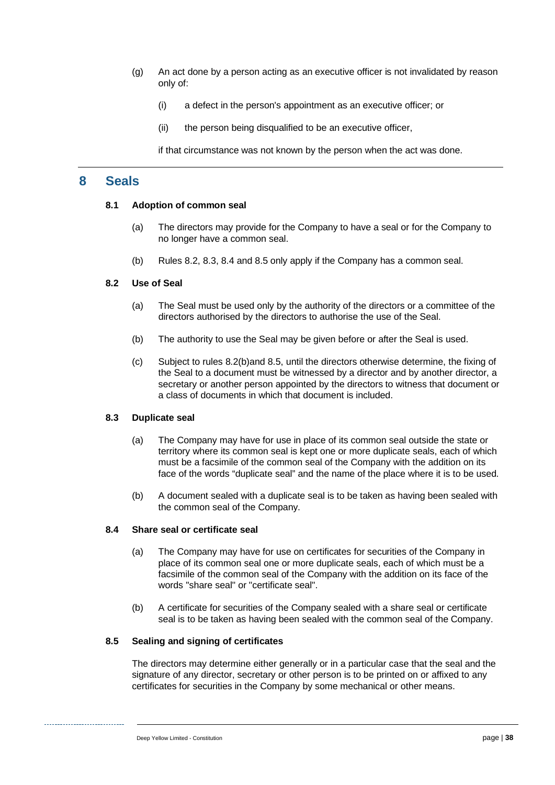- (g) An act done by a person acting as an executive officer is not invalidated by reason only of:
	- (i) a defect in the person's appointment as an executive officer; or
	- (ii) the person being disqualified to be an executive officer,

if that circumstance was not known by the person when the act was done.

## **8 Seals**

#### **8.1 Adoption of common seal**

- (a) The directors may provide for the Company to have a seal or for the Company to no longer have a common seal.
- (b) Rules [8.2,](#page-42-0) [8.3,](#page-42-1) [8.4](#page-42-2) and [8.5](#page-42-3) only apply if the Company has a common seal.

#### <span id="page-42-0"></span>**8.2 Use of Seal**

- (a) The Seal must be used only by the authority of the directors or a committee of the directors authorised by the directors to authorise the use of the Seal.
- <span id="page-42-4"></span>(b) The authority to use the Seal may be given before or after the Seal is used.
- (c) Subject to rules [8.2\(b\)a](#page-42-4)nd [8.5,](#page-42-3) until the directors otherwise determine, the fixing of the Seal to a document must be witnessed by a director and by another director, a secretary or another person appointed by the directors to witness that document or a class of documents in which that document is included.

#### <span id="page-42-1"></span>**8.3 Duplicate seal**

- (a) The Company may have for use in place of its common seal outside the state or territory where its common seal is kept one or more duplicate seals, each of which must be a facsimile of the common seal of the Company with the addition on its face of the words "duplicate seal" and the name of the place where it is to be used.
- (b) A document sealed with a duplicate seal is to be taken as having been sealed with the common seal of the Company.

#### <span id="page-42-2"></span>**8.4 Share seal or certificate seal**

- (a) The Company may have for use on certificates for securities of the Company in place of its common seal one or more duplicate seals, each of which must be a facsimile of the common seal of the Company with the addition on its face of the words "share seal" or "certificate seal".
- (b) A certificate for securities of the Company sealed with a share seal or certificate seal is to be taken as having been sealed with the common seal of the Company.

#### <span id="page-42-3"></span>**8.5 Sealing and signing of certificates**

The directors may determine either generally or in a particular case that the seal and the signature of any director, secretary or other person is to be printed on or affixed to any certificates for securities in the Company by some mechanical or other means.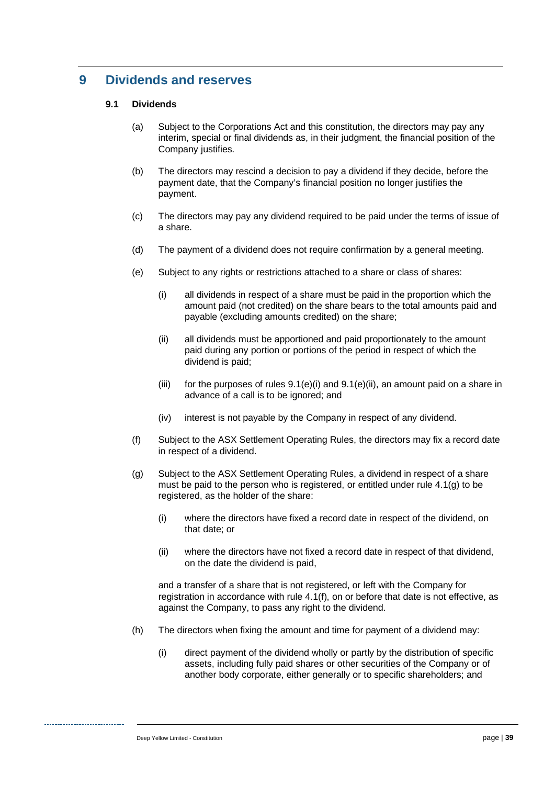# **9 Dividends and reserves**

#### **9.1 Dividends**

- (a) Subject to the Corporations Act and this constitution, the directors may pay any interim, special or final dividends as, in their judgment, the financial position of the Company justifies.
- (b) The directors may rescind a decision to pay a dividend if they decide, before the payment date, that the Company's financial position no longer justifies the payment.
- (c) The directors may pay any dividend required to be paid under the terms of issue of a share.
- (d) The payment of a dividend does not require confirmation by a general meeting.
- <span id="page-43-2"></span><span id="page-43-1"></span><span id="page-43-0"></span>(e) Subject to any rights or restrictions attached to a share or class of shares:
	- (i) all dividends in respect of a share must be paid in the proportion which the amount paid (not credited) on the share bears to the total amounts paid and payable (excluding amounts credited) on the share;
	- (ii) all dividends must be apportioned and paid proportionately to the amount paid during any portion or portions of the period in respect of which the dividend is paid;
	- (iii) for the purposes of rules  $9.1(e)(i)$  and  $9.1(e)(ii)$ , an amount paid on a share in advance of a call is to be ignored; and
	- (iv) interest is not payable by the Company in respect of any dividend.
- <span id="page-43-3"></span>(f) Subject to the ASX Settlement Operating Rules, the directors may fix a record date in respect of a dividend.
- <span id="page-43-4"></span>(g) Subject to the ASX Settlement Operating Rules, a dividend in respect of a share must be paid to the person who is registered, or entitled under rule [4.1\(g\)](#page-18-3) to be registered, as the holder of the share:
	- (i) where the directors have fixed a record date in respect of the dividend, on that date; or
	- (ii) where the directors have not fixed a record date in respect of that dividend, on the date the dividend is paid,

and a transfer of a share that is not registered, or left with the Company for registration in accordance with rule [4.1\(f\),](#page-18-1) on or before that date is not effective, as against the Company, to pass any right to the dividend.

- <span id="page-43-5"></span>(h) The directors when fixing the amount and time for payment of a dividend may:
	- (i) direct payment of the dividend wholly or partly by the distribution of specific assets, including fully paid shares or other securities of the Company or of another body corporate, either generally or to specific shareholders; and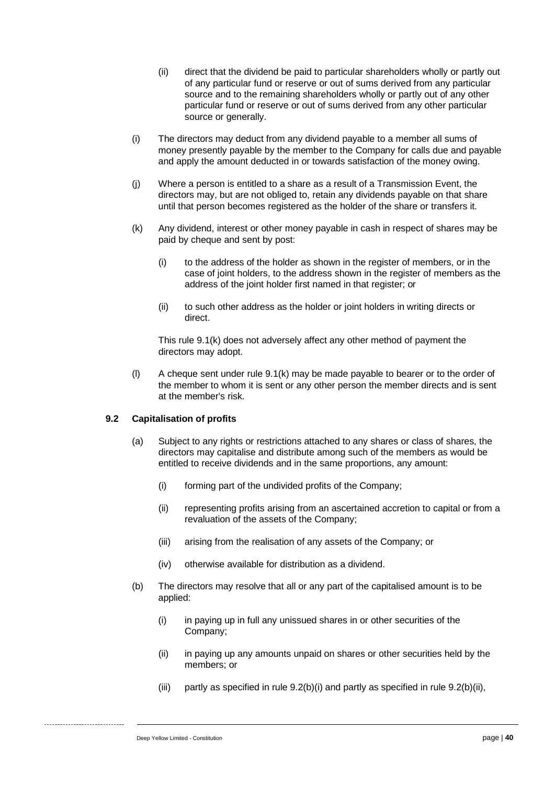- (ii) direct that the dividend be paid to particular shareholders wholly or partly out of any particular fund or reserve or out of sums derived from any particular source and to the remaining shareholders wholly or partly out of any other particular fund or reserve or out of sums derived from any other particular source or generally.
- (i) The directors may deduct from any dividend payable to a member all sums of money presently payable by the member to the Company for calls due and payable and apply the amount deducted in or towards satisfaction of the money owing.
- (j) Where a person is entitled to a share as a result of a Transmission Event, the directors may, but are not obliged to, retain any dividends payable on that share until that person becomes registered as the holder of the share or transfers it.
- <span id="page-44-0"></span>(k) Any dividend, interest or other money payable in cash in respect of shares may be paid by cheque and sent by post:
	- (i) to the address of the holder as shown in the register of members, or in the case of joint holders, to the address shown in the register of members as the address of the joint holder first named in that register; or
	- (ii) to such other address as the holder or joint holders in writing directs or direct.

This rule [9.1\(k\)](#page-44-0) does not adversely affect any other method of payment the directors may adopt.

(l) A cheque sent under rule [9.1\(k\)](#page-44-0) may be made payable to bearer or to the order of the member to whom it is sent or any other person the member directs and is sent at the member's risk.

#### <span id="page-44-3"></span>**9.2 Capitalisation of profits**

- (a) Subject to any rights or restrictions attached to any shares or class of shares, the directors may capitalise and distribute among such of the members as would be entitled to receive dividends and in the same proportions, any amount:
	- (i) forming part of the undivided profits of the Company;
	- (ii) representing profits arising from an ascertained accretion to capital or from a revaluation of the assets of the Company;
	- (iii) arising from the realisation of any assets of the Company; or
	- (iv) otherwise available for distribution as a dividend.
- <span id="page-44-2"></span><span id="page-44-1"></span>(b) The directors may resolve that all or any part of the capitalised amount is to be applied:
	- (i) in paying up in full any unissued shares in or other securities of the Company;
	- (ii) in paying up any amounts unpaid on shares or other securities held by the members; or
	- (iii) partly as specified in rule  $9.2(b)(i)$  and partly as specified in rule  $9.2(b)(ii)$ ,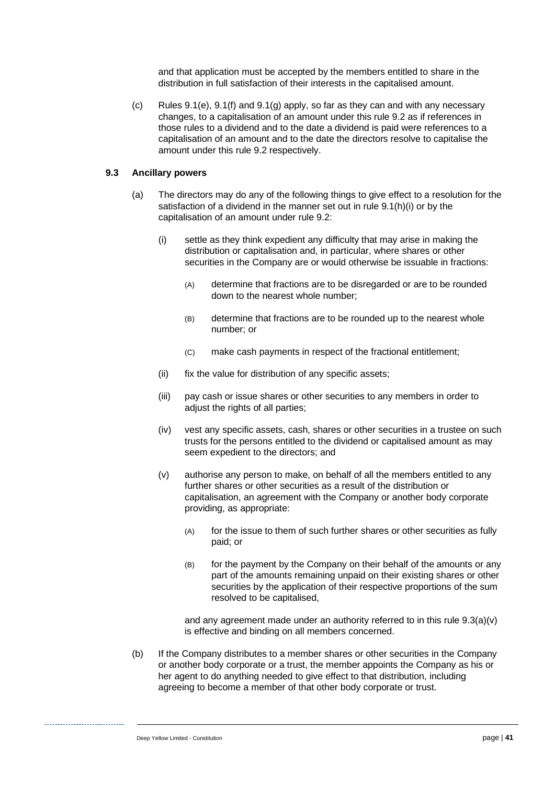and that application must be accepted by the members entitled to share in the distribution in full satisfaction of their interests in the capitalised amount.

(c) Rules [9.1\(e\),](#page-43-2) [9.1\(f\)](#page-43-3) and [9.1\(g\)](#page-43-4) apply, so far as they can and with any necessary changes, to a capitalisation of an amount under this rule [9.2](#page-44-3) as if references in those rules to a dividend and to the date a dividend is paid were references to a capitalisation of an amount and to the date the directors resolve to capitalise the amount under this rule [9.2](#page-44-3) respectively.

#### <span id="page-45-1"></span>**9.3 Ancillary powers**

- (a) The directors may do any of the following things to give effect to a resolution for the satisfaction of a dividend in the manner set out in rule [9.1\(h\)\(i\)](#page-43-5) or by the capitalisation of an amount under rule [9.2:](#page-44-3)
	- (i) settle as they think expedient any difficulty that may arise in making the distribution or capitalisation and, in particular, where shares or other securities in the Company are or would otherwise be issuable in fractions:
		- (A) determine that fractions are to be disregarded or are to be rounded down to the nearest whole number;
		- (B) determine that fractions are to be rounded up to the nearest whole number; or
		- (C) make cash payments in respect of the fractional entitlement;
	- (ii) fix the value for distribution of any specific assets;
	- (iii) pay cash or issue shares or other securities to any members in order to adjust the rights of all parties;
	- (iv) vest any specific assets, cash, shares or other securities in a trustee on such trusts for the persons entitled to the dividend or capitalised amount as may seem expedient to the directors; and
	- (v) authorise any person to make, on behalf of all the members entitled to any further shares or other securities as a result of the distribution or capitalisation, an agreement with the Company or another body corporate providing, as appropriate:
		- (A) for the issue to them of such further shares or other securities as fully paid; or
		- (B) for the payment by the Company on their behalf of the amounts or any part of the amounts remaining unpaid on their existing shares or other securities by the application of their respective proportions of the sum resolved to be capitalised,

<span id="page-45-0"></span>and any agreement made under an authority referred to in this rule  $9.3(a)(v)$ is effective and binding on all members concerned.

(b) If the Company distributes to a member shares or other securities in the Company or another body corporate or a trust, the member appoints the Company as his or her agent to do anything needed to give effect to that distribution, including agreeing to become a member of that other body corporate or trust.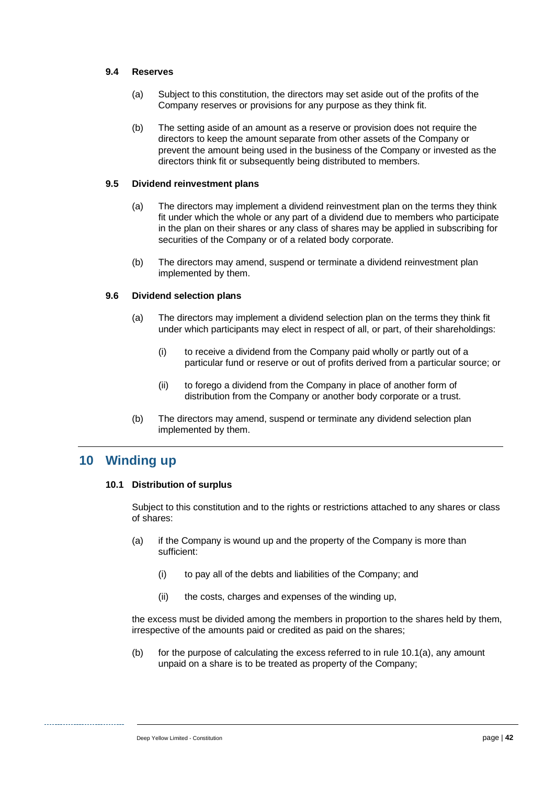#### **9.4 Reserves**

- (a) Subject to this constitution, the directors may set aside out of the profits of the Company reserves or provisions for any purpose as they think fit.
- (b) The setting aside of an amount as a reserve or provision does not require the directors to keep the amount separate from other assets of the Company or prevent the amount being used in the business of the Company or invested as the directors think fit or subsequently being distributed to members.

#### **9.5 Dividend reinvestment plans**

- (a) The directors may implement a dividend reinvestment plan on the terms they think fit under which the whole or any part of a dividend due to members who participate in the plan on their shares or any class of shares may be applied in subscribing for securities of the Company or of a related body corporate.
- (b) The directors may amend, suspend or terminate a dividend reinvestment plan implemented by them.

#### **9.6 Dividend selection plans**

- (a) The directors may implement a dividend selection plan on the terms they think fit under which participants may elect in respect of all, or part, of their shareholdings:
	- (i) to receive a dividend from the Company paid wholly or partly out of a particular fund or reserve or out of profits derived from a particular source; or
	- (ii) to forego a dividend from the Company in place of another form of distribution from the Company or another body corporate or a trust.
- (b) The directors may amend, suspend or terminate any dividend selection plan implemented by them.

# **10 Winding up**

#### **10.1 Distribution of surplus**

Subject to this constitution and to the rights or restrictions attached to any shares or class of shares:

- <span id="page-46-0"></span>(a) if the Company is wound up and the property of the Company is more than sufficient:
	- (i) to pay all of the debts and liabilities of the Company; and
	- (ii) the costs, charges and expenses of the winding up,

the excess must be divided among the members in proportion to the shares held by them, irrespective of the amounts paid or credited as paid on the shares;

(b) for the purpose of calculating the excess referred to in rule [10.1\(a\),](#page-46-0) any amount unpaid on a share is to be treated as property of the Company;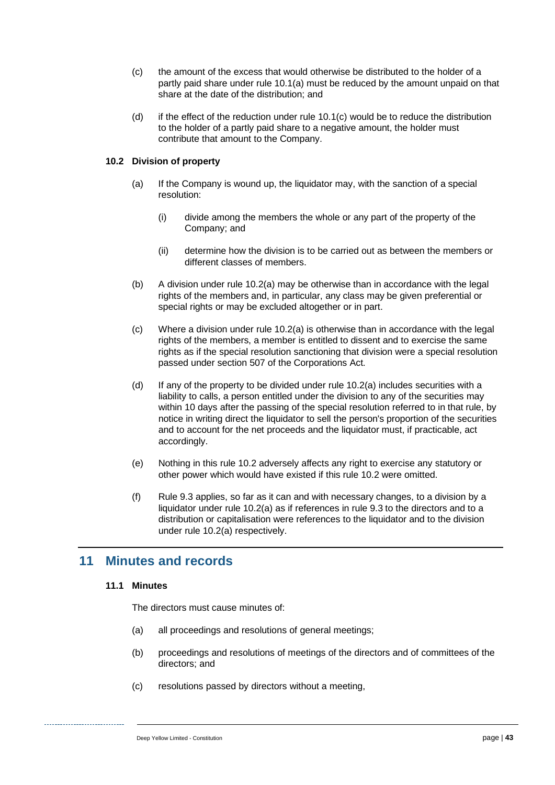- <span id="page-47-0"></span>(c) the amount of the excess that would otherwise be distributed to the holder of a partly paid share under rule [10.1\(a\)](#page-46-0) must be reduced by the amount unpaid on that share at the date of the distribution; and
- (d) if the effect of the reduction under rule [10.1\(c\)](#page-47-0) would be to reduce the distribution to the holder of a partly paid share to a negative amount, the holder must contribute that amount to the Company.

#### <span id="page-47-2"></span><span id="page-47-1"></span>**10.2 Division of property**

- (a) If the Company is wound up, the liquidator may, with the sanction of a special resolution:
	- (i) divide among the members the whole or any part of the property of the Company; and
	- (ii) determine how the division is to be carried out as between the members or different classes of members.
- (b) A division under rule [10.2\(a\)](#page-47-1) may be otherwise than in accordance with the legal rights of the members and, in particular, any class may be given preferential or special rights or may be excluded altogether or in part.
- (c) Where a division under rule [10.2\(a\)](#page-47-1) is otherwise than in accordance with the legal rights of the members, a member is entitled to dissent and to exercise the same rights as if the special resolution sanctioning that division were a special resolution passed under section 507 of the Corporations Act.
- (d) If any of the property to be divided under rule [10.2\(a\)](#page-47-1) includes securities with a liability to calls, a person entitled under the division to any of the securities may within 10 days after the passing of the special resolution referred to in that rule, by notice in writing direct the liquidator to sell the person's proportion of the securities and to account for the net proceeds and the liquidator must, if practicable, act accordingly.
- (e) Nothing in this rule [10.2](#page-47-2) adversely affects any right to exercise any statutory or other power which would have existed if this rule [10.2](#page-47-2) were omitted.
- (f) Rule [9.3](#page-45-1) applies, so far as it can and with necessary changes, to a division by a liquidator under rule [10.2\(a\)](#page-47-1) as if references in rule [9.3](#page-45-1) to the directors and to a distribution or capitalisation were references to the liquidator and to the division under rule [10.2\(a\)](#page-47-1) respectively.

## <span id="page-47-3"></span>**11 Minutes and records**

#### **11.1 Minutes**

The directors must cause minutes of:

- (a) all proceedings and resolutions of general meetings;
- (b) proceedings and resolutions of meetings of the directors and of committees of the directors; and
- (c) resolutions passed by directors without a meeting,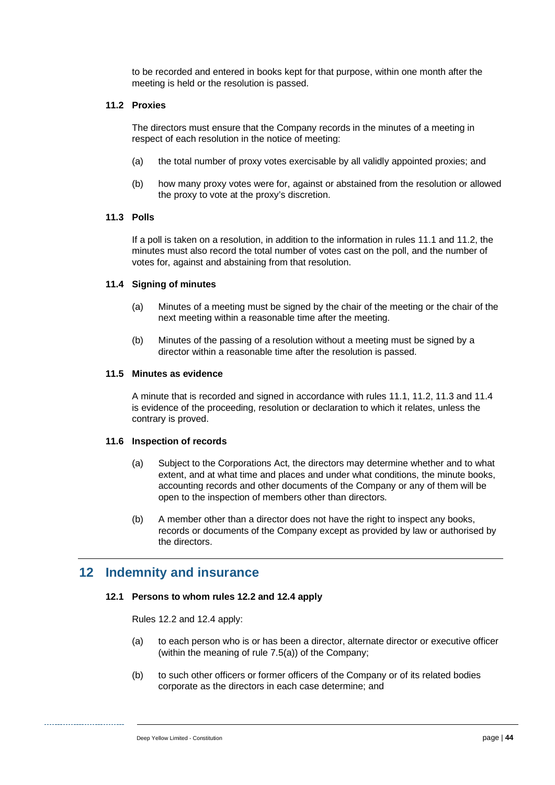to be recorded and entered in books kept for that purpose, within one month after the meeting is held or the resolution is passed.

#### <span id="page-48-0"></span>**11.2 Proxies**

The directors must ensure that the Company records in the minutes of a meeting in respect of each resolution in the notice of meeting:

- (a) the total number of proxy votes exercisable by all validly appointed proxies; and
- (b) how many proxy votes were for, against or abstained from the resolution or allowed the proxy to vote at the proxy's discretion.

#### <span id="page-48-1"></span>**11.3 Polls**

If a poll is taken on a resolution, in addition to the information in rules [11.1](#page-47-3) and [11.2,](#page-48-0) the minutes must also record the total number of votes cast on the poll, and the number of votes for, against and abstaining from that resolution.

#### <span id="page-48-2"></span>**11.4 Signing of minutes**

- (a) Minutes of a meeting must be signed by the chair of the meeting or the chair of the next meeting within a reasonable time after the meeting.
- (b) Minutes of the passing of a resolution without a meeting must be signed by a director within a reasonable time after the resolution is passed.

#### **11.5 Minutes as evidence**

A minute that is recorded and signed in accordance with rules [11.1,](#page-47-3) [11.2,](#page-48-0) [11.3](#page-48-1) and [11.4](#page-48-2) is evidence of the proceeding, resolution or declaration to which it relates, unless the contrary is proved.

#### **11.6 Inspection of records**

- (a) Subject to the Corporations Act, the directors may determine whether and to what extent, and at what time and places and under what conditions, the minute books, accounting records and other documents of the Company or any of them will be open to the inspection of members other than directors.
- (b) A member other than a director does not have the right to inspect any books, records or documents of the Company except as provided by law or authorised by the directors.

## <span id="page-48-3"></span>**12 Indemnity and insurance**

#### **12.1 Persons to whom rules [12.2](#page-49-1) and [12.4](#page-49-2) apply**

Rules [12.2](#page-49-1) and [12.4](#page-49-2) apply:

- (a) to each person who is or has been a director, alternate director or executive officer (within the meaning of rule [7.5\(a\)\)](#page-41-2) of the Company;
- (b) to such other officers or former officers of the Company or of its related bodies corporate as the directors in each case determine; and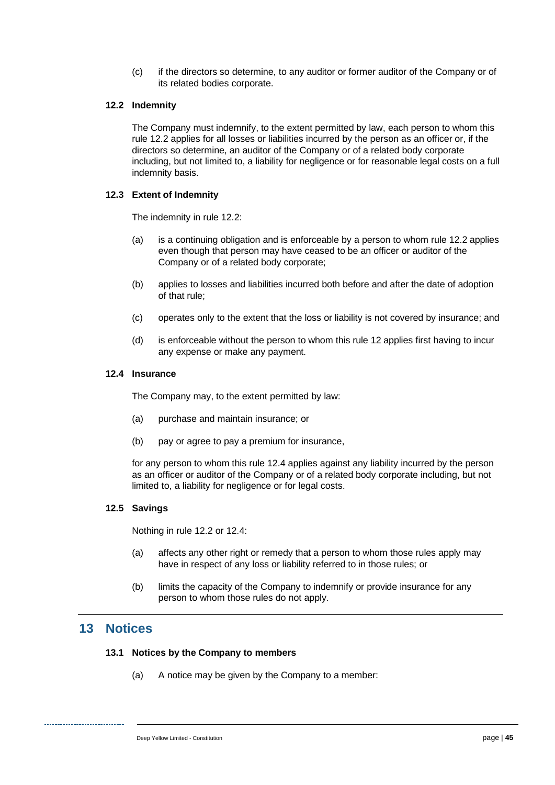(c) if the directors so determine, to any auditor or former auditor of the Company or of its related bodies corporate.

#### <span id="page-49-1"></span>**12.2 Indemnity**

The Company must indemnify, to the extent permitted by law, each person to whom this rule [12.2](#page-49-1) applies for all losses or liabilities incurred by the person as an officer or, if the directors so determine, an auditor of the Company or of a related body corporate including, but not limited to, a liability for negligence or for reasonable legal costs on a full indemnity basis.

#### **12.3 Extent of Indemnity**

The indemnity in rule [12.2:](#page-49-1)

- (a) is a continuing obligation and is enforceable by a person to whom rule [12.2](#page-49-1) applies even though that person may have ceased to be an officer or auditor of the Company or of a related body corporate;
- (b) applies to losses and liabilities incurred both before and after the date of adoption of that rule;
- (c) operates only to the extent that the loss or liability is not covered by insurance; and
- (d) is enforceable without the person to whom this rule [12](#page-48-3) applies first having to incur any expense or make any payment.

#### <span id="page-49-2"></span>**12.4 Insurance**

The Company may, to the extent permitted by law:

- (a) purchase and maintain insurance; or
- (b) pay or agree to pay a premium for insurance,

for any person to whom this rule [12.4](#page-49-2) applies against any liability incurred by the person as an officer or auditor of the Company or of a related body corporate including, but not limited to, a liability for negligence or for legal costs.

#### **12.5 Savings**

Nothing in rule [12.2](#page-49-1) or [12.4:](#page-49-2)

- (a) affects any other right or remedy that a person to whom those rules apply may have in respect of any loss or liability referred to in those rules; or
- (b) limits the capacity of the Company to indemnify or provide insurance for any person to whom those rules do not apply.

## <span id="page-49-0"></span>**13 Notices**

#### <span id="page-49-3"></span>**13.1 Notices by the Company to members**

(a) A notice may be given by the Company to a member: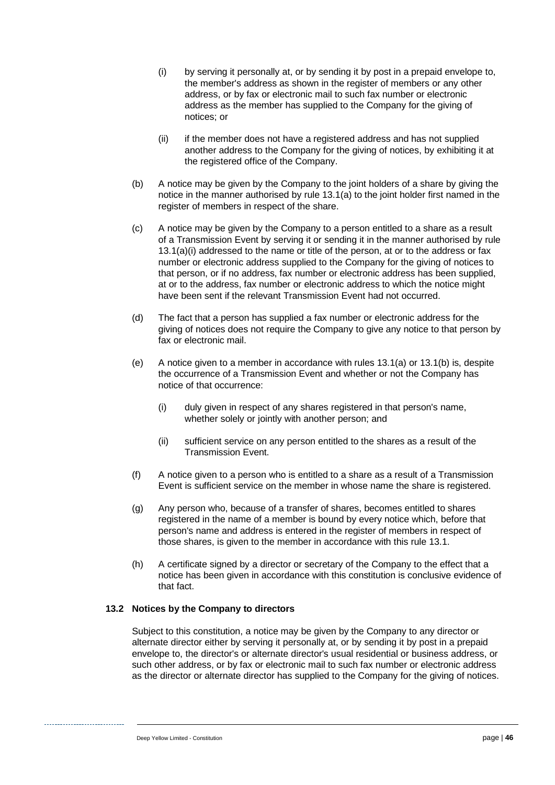- <span id="page-50-0"></span>(i) by serving it personally at, or by sending it by post in a prepaid envelope to, the member's address as shown in the register of members or any other address, or by fax or electronic mail to such fax number or electronic address as the member has supplied to the Company for the giving of notices; or
- (ii) if the member does not have a registered address and has not supplied another address to the Company for the giving of notices, by exhibiting it at the registered office of the Company.
- <span id="page-50-2"></span><span id="page-50-1"></span>(b) A notice may be given by the Company to the joint holders of a share by giving the notice in the manner authorised by rule [13.1\(a\)](#page-49-3) to the joint holder first named in the register of members in respect of the share.
- (c) A notice may be given by the Company to a person entitled to a share as a result of a Transmission Event by serving it or sending it in the manner authorised by rule [13.1\(a\)\(i\)](#page-50-0) addressed to the name or title of the person, at or to the address or fax number or electronic address supplied to the Company for the giving of notices to that person, or if no address, fax number or electronic address has been supplied, at or to the address, fax number or electronic address to which the notice might have been sent if the relevant Transmission Event had not occurred.
- (d) The fact that a person has supplied a fax number or electronic address for the giving of notices does not require the Company to give any notice to that person by fax or electronic mail.
- (e) A notice given to a member in accordance with rules  $13.1(a)$  or  $13.1(b)$  is, despite the occurrence of a Transmission Event and whether or not the Company has notice of that occurrence:
	- (i) duly given in respect of any shares registered in that person's name, whether solely or jointly with another person; and
	- (ii) sufficient service on any person entitled to the shares as a result of the Transmission Event.
- (f) A notice given to a person who is entitled to a share as a result of a Transmission Event is sufficient service on the member in whose name the share is registered.
- (g) Any person who, because of a transfer of shares, becomes entitled to shares registered in the name of a member is bound by every notice which, before that person's name and address is entered in the register of members in respect of those shares, is given to the member in accordance with this rule [13.1.](#page-49-0)
- (h) A certificate signed by a director or secretary of the Company to the effect that a notice has been given in accordance with this constitution is conclusive evidence of that fact.

#### **13.2 Notices by the Company to directors**

Subject to this constitution, a notice may be given by the Company to any director or alternate director either by serving it personally at, or by sending it by post in a prepaid envelope to, the director's or alternate director's usual residential or business address, or such other address, or by fax or electronic mail to such fax number or electronic address as the director or alternate director has supplied to the Company for the giving of notices.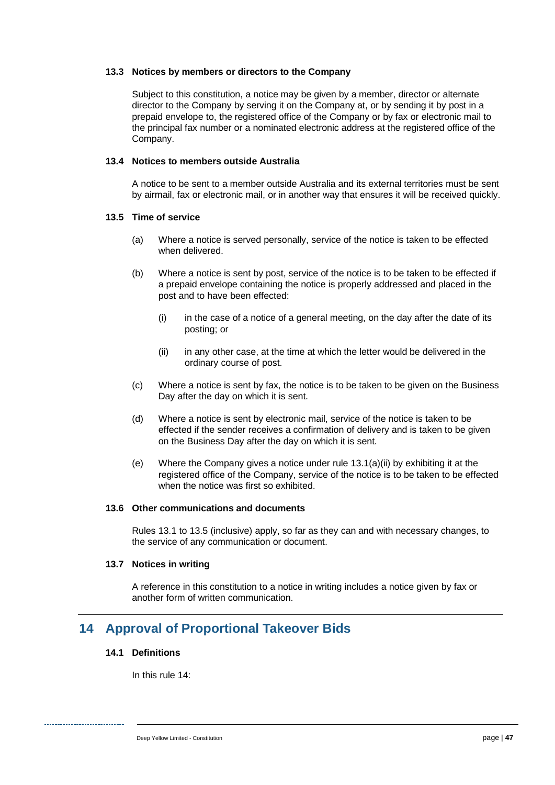#### **13.3 Notices by members or directors to the Company**

Subject to this constitution, a notice may be given by a member, director or alternate director to the Company by serving it on the Company at, or by sending it by post in a prepaid envelope to, the registered office of the Company or by fax or electronic mail to the principal fax number or a nominated electronic address at the registered office of the Company.

#### **13.4 Notices to members outside Australia**

A notice to be sent to a member outside Australia and its external territories must be sent by airmail, fax or electronic mail, or in another way that ensures it will be received quickly.

#### <span id="page-51-0"></span>**13.5 Time of service**

- (a) Where a notice is served personally, service of the notice is taken to be effected when delivered.
- (b) Where a notice is sent by post, service of the notice is to be taken to be effected if a prepaid envelope containing the notice is properly addressed and placed in the post and to have been effected:
	- (i) in the case of a notice of a general meeting, on the day after the date of its posting; or
	- (ii) in any other case, at the time at which the letter would be delivered in the ordinary course of post.
- (c) Where a notice is sent by fax, the notice is to be taken to be given on the Business Day after the day on which it is sent.
- (d) Where a notice is sent by electronic mail, service of the notice is taken to be effected if the sender receives a confirmation of delivery and is taken to be given on the Business Day after the day on which it is sent.
- (e) Where the Company gives a notice under rule [13.1\(a\)\(ii\)](#page-50-2) by exhibiting it at the registered office of the Company, service of the notice is to be taken to be effected when the notice was first so exhibited.

#### **13.6 Other communications and documents**

Rules [13.1](#page-49-0) to [13.5](#page-51-0) (inclusive) apply, so far as they can and with necessary changes, to the service of any communication or document.

#### **13.7 Notices in writing**

A reference in this constitution to a notice in writing includes a notice given by fax or another form of written communication.

# <span id="page-51-2"></span><span id="page-51-1"></span>**14 Approval of Proportional Takeover Bids**

#### **14.1 Definitions**

In this rul[e 14:](#page-51-1)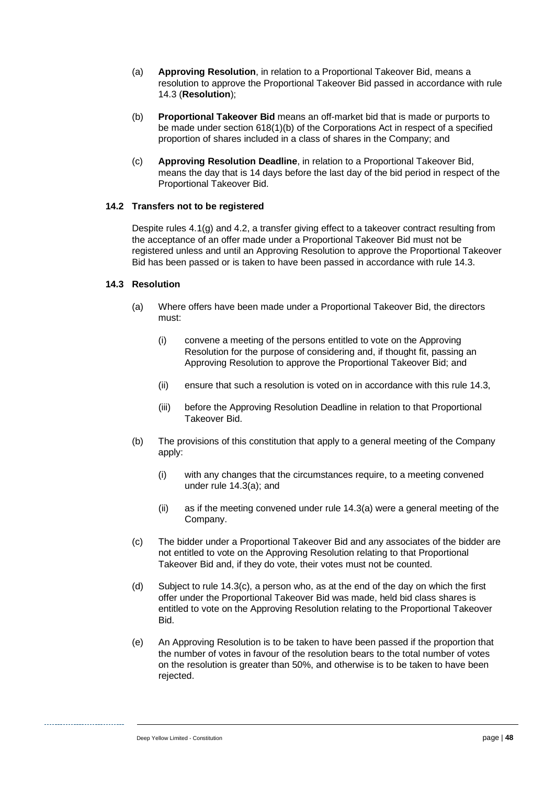- (a) **Approving Resolution**, in relation to a Proportional Takeover Bid, means a resolution to approve the Proportional Takeover Bid passed in accordance with rule [14.3](#page-52-0) (**Resolution**);
- (b) **Proportional Takeover Bid** means an off-market bid that is made or purports to be made under section 618(1)(b) of the Corporations Act in respect of a specified proportion of shares included in a class of shares in the Company; and
- (c) **Approving Resolution Deadline**, in relation to a Proportional Takeover Bid, means the day that is 14 days before the last day of the bid period in respect of the Proportional Takeover Bid.

#### <span id="page-52-3"></span>**14.2 Transfers not to be registered**

Despite rules [4.1\(g\)](#page-18-3) and [4.2,](#page-18-0) a transfer giving effect to a takeover contract resulting from the acceptance of an offer made under a Proportional Takeover Bid must not be registered unless and until an Approving Resolution to approve the Proportional Takeover Bid has been passed or is taken to have been passed in accordance with rule [14.3.](#page-52-0)

#### <span id="page-52-1"></span><span id="page-52-0"></span>**14.3 Resolution**

- (a) Where offers have been made under a Proportional Takeover Bid, the directors must:
	- (i) convene a meeting of the persons entitled to vote on the Approving Resolution for the purpose of considering and, if thought fit, passing an Approving Resolution to approve the Proportional Takeover Bid; and
	- (ii) ensure that such a resolution is voted on in accordance with this rule [14.3,](#page-52-0)
	- (iii) before the Approving Resolution Deadline in relation to that Proportional Takeover Bid.
- (b) The provisions of this constitution that apply to a general meeting of the Company apply:
	- (i) with any changes that the circumstances require, to a meeting convened under rule [14.3\(a\);](#page-52-1) and
	- (ii) as if the meeting convened under rule [14.3\(a\)](#page-52-1) were a general meeting of the Company.
- <span id="page-52-2"></span>(c) The bidder under a Proportional Takeover Bid and any associates of the bidder are not entitled to vote on the Approving Resolution relating to that Proportional Takeover Bid and, if they do vote, their votes must not be counted.
- (d) Subject to rule [14.3\(c\),](#page-52-2) a person who, as at the end of the day on which the first offer under the Proportional Takeover Bid was made, held bid class shares is entitled to vote on the Approving Resolution relating to the Proportional Takeover Bid.
- (e) An Approving Resolution is to be taken to have been passed if the proportion that the number of votes in favour of the resolution bears to the total number of votes on the resolution is greater than 50%, and otherwise is to be taken to have been rejected.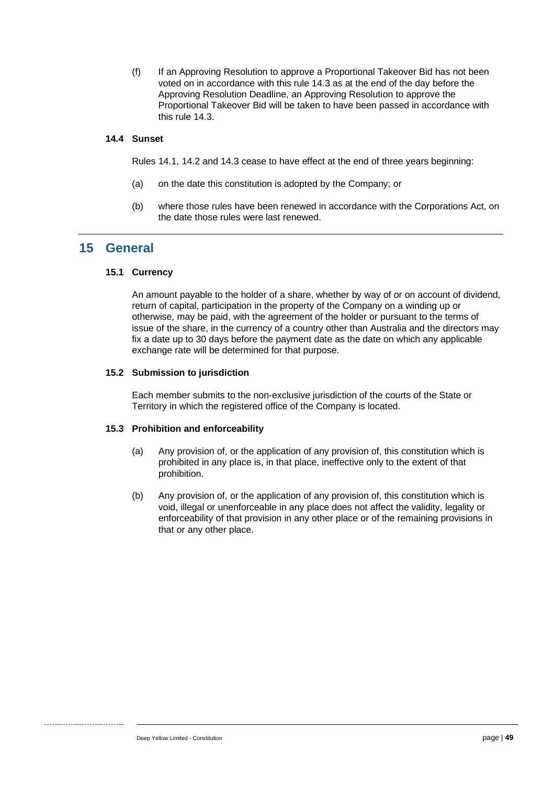(f) If an Approving Resolution to approve a Proportional Takeover Bid has not been voted on in accordance with this rule [14.3](#page-52-0) as at the end of the day before the Approving Resolution Deadline, an Approving Resolution to approve the Proportional Takeover Bid will be taken to have been passed in accordance with this rule [14.3.](#page-52-0)

#### **14.4 Sunset**

Rules [14.1,](#page-51-2) [14.2](#page-52-3) and [14.3](#page-52-0) cease to have effect at the end of three years beginning:

- (a) on the date this constitution is adopted by the Company; or
- (b) where those rules have been renewed in accordance with the Corporations Act, on the date those rules were last renewed.

## **15 General**

#### **15.1 Currency**

An amount payable to the holder of a share, whether by way of or on account of dividend, return of capital, participation in the property of the Company on a winding up or otherwise, may be paid, with the agreement of the holder or pursuant to the terms of issue of the share, in the currency of a country other than Australia and the directors may fix a date up to 30 days before the payment date as the date on which any applicable exchange rate will be determined for that purpose.

#### **15.2 Submission to jurisdiction**

Each member submits to the non-exclusive jurisdiction of the courts of the State or Territory in which the registered office of the Company is located.

#### **15.3 Prohibition and enforceability**

- (a) Any provision of, or the application of any provision of, this constitution which is prohibited in any place is, in that place, ineffective only to the extent of that prohibition.
- (b) Any provision of, or the application of any provision of, this constitution which is void, illegal or unenforceable in any place does not affect the validity, legality or enforceability of that provision in any other place or of the remaining provisions in that or any other place.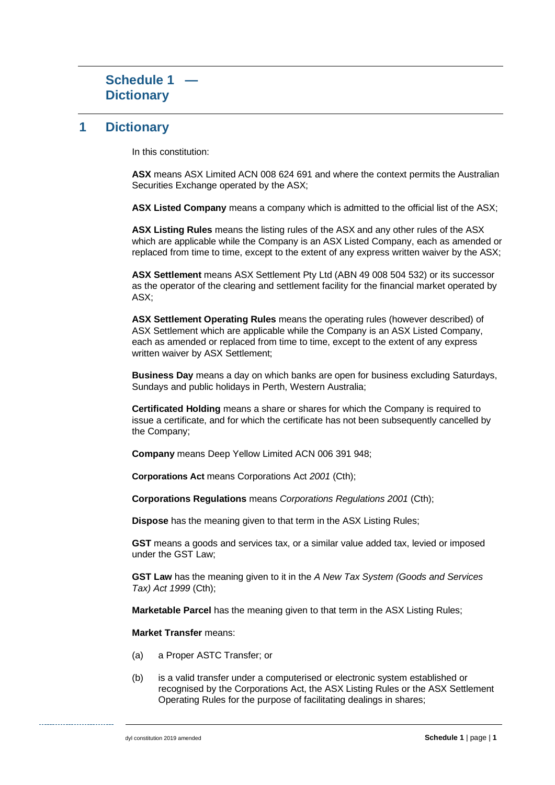## **1 Dictionary**

In this constitution:

**ASX** means ASX Limited ACN 008 624 691 and where the context permits the Australian Securities Exchange operated by the ASX;

**ASX Listed Company** means a company which is admitted to the official list of the ASX;

**ASX Listing Rules** means the listing rules of the ASX and any other rules of the ASX which are applicable while the Company is an ASX Listed Company, each as amended or replaced from time to time, except to the extent of any express written waiver by the ASX;

**ASX Settlement** means ASX Settlement Pty Ltd (ABN 49 008 504 532) or its successor as the operator of the clearing and settlement facility for the financial market operated by ASX;

**ASX Settlement Operating Rules** means the operating rules (however described) of ASX Settlement which are applicable while the Company is an ASX Listed Company, each as amended or replaced from time to time, except to the extent of any express written waiver by ASX Settlement;

**Business Day** means a day on which banks are open for business excluding Saturdays, Sundays and public holidays in Perth, Western Australia;

**Certificated Holding** means a share or shares for which the Company is required to issue a certificate, and for which the certificate has not been subsequently cancelled by the Company;

**Company** means Deep Yellow Limited ACN 006 391 948;

**Corporations Act** means Corporations Act *2001* (Cth);

**Corporations Regulations** means *Corporations Regulations 2001* (Cth);

**Dispose** has the meaning given to that term in the ASX Listing Rules;

**GST** means a goods and services tax, or a similar value added tax, levied or imposed under the GST Law;

**GST Law** has the meaning given to it in the *A New Tax System (Goods and Services Tax) Act 1999* (Cth);

**Marketable Parcel** has the meaning given to that term in the ASX Listing Rules;

**Market Transfer** means:

- (a) a Proper ASTC Transfer; or
- (b) is a valid transfer under a computerised or electronic system established or recognised by the Corporations Act, the ASX Listing Rules or the ASX Settlement Operating Rules for the purpose of facilitating dealings in shares;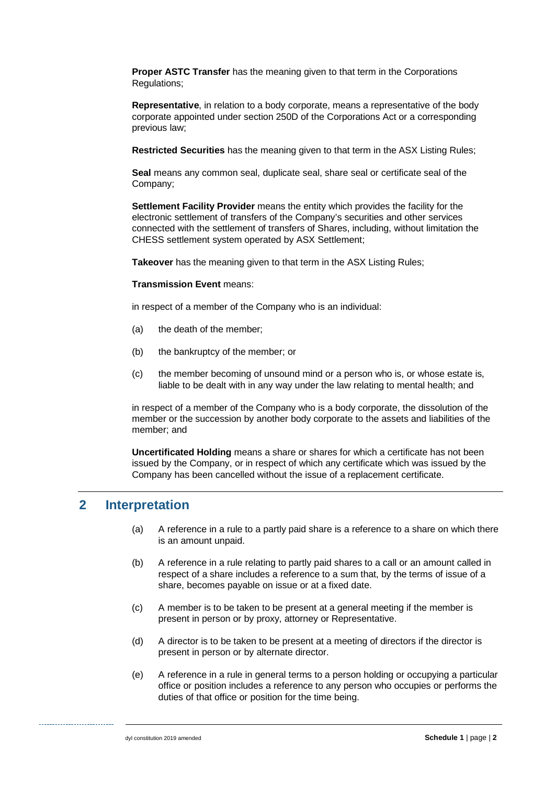**Proper ASTC Transfer** has the meaning given to that term in the Corporations Regulations;

**Representative**, in relation to a body corporate, means a representative of the body corporate appointed under section 250D of the Corporations Act or a corresponding previous law;

**Restricted Securities** has the meaning given to that term in the ASX Listing Rules;

**Seal** means any common seal, duplicate seal, share seal or certificate seal of the Company;

**Settlement Facility Provider** means the entity which provides the facility for the electronic settlement of transfers of the Company's securities and other services connected with the settlement of transfers of Shares, including, without limitation the CHESS settlement system operated by ASX Settlement;

**Takeover** has the meaning given to that term in the ASX Listing Rules;

#### **Transmission Event** means:

in respect of a member of the Company who is an individual:

- (a) the death of the member;
- (b) the bankruptcy of the member; or
- (c) the member becoming of unsound mind or a person who is, or whose estate is, liable to be dealt with in any way under the law relating to mental health; and

in respect of a member of the Company who is a body corporate, the dissolution of the member or the succession by another body corporate to the assets and liabilities of the member; and

**Uncertificated Holding** means a share or shares for which a certificate has not been issued by the Company, or in respect of which any certificate which was issued by the Company has been cancelled without the issue of a replacement certificate.

# **2 Interpretation**

- (a) A reference in a rule to a partly paid share is a reference to a share on which there is an amount unpaid.
- (b) A reference in a rule relating to partly paid shares to a call or an amount called in respect of a share includes a reference to a sum that, by the terms of issue of a share, becomes payable on issue or at a fixed date.
- (c) A member is to be taken to be present at a general meeting if the member is present in person or by proxy, attorney or Representative.
- (d) A director is to be taken to be present at a meeting of directors if the director is present in person or by alternate director.
- (e) A reference in a rule in general terms to a person holding or occupying a particular office or position includes a reference to any person who occupies or performs the duties of that office or position for the time being.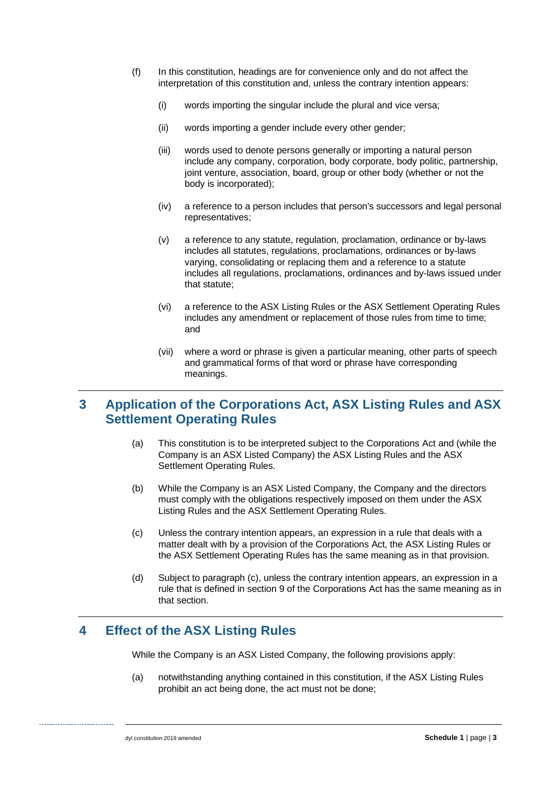- (f) In this constitution, headings are for convenience only and do not affect the interpretation of this constitution and, unless the contrary intention appears:
	- (i) words importing the singular include the plural and vice versa;
	- (ii) words importing a gender include every other gender;
	- (iii) words used to denote persons generally or importing a natural person include any company, corporation, body corporate, body politic, partnership, joint venture, association, board, group or other body (whether or not the body is incorporated);
	- (iv) a reference to a person includes that person's successors and legal personal representatives;
	- (v) a reference to any statute, regulation, proclamation, ordinance or by-laws includes all statutes, regulations, proclamations, ordinances or by-laws varying, consolidating or replacing them and a reference to a statute includes all regulations, proclamations, ordinances and by-laws issued under that statute;
	- (vi) a reference to the ASX Listing Rules or the ASX Settlement Operating Rules includes any amendment or replacement of those rules from time to time; and
	- (vii) where a word or phrase is given a particular meaning, other parts of speech and grammatical forms of that word or phrase have corresponding meanings.

# **3 Application of the Corporations Act, ASX Listing Rules and ASX Settlement Operating Rules**

- (a) This constitution is to be interpreted subject to the Corporations Act and (while the Company is an ASX Listed Company) the ASX Listing Rules and the ASX Settlement Operating Rules.
- (b) While the Company is an ASX Listed Company, the Company and the directors must comply with the obligations respectively imposed on them under the ASX Listing Rules and the ASX Settlement Operating Rules.
- (c) Unless the contrary intention appears, an expression in a rule that deals with a matter dealt with by a provision of the Corporations Act, the ASX Listing Rules or the ASX Settlement Operating Rules has the same meaning as in that provision.
- (d) Subject to paragraph (c), unless the contrary intention appears, an expression in a rule that is defined in section 9 of the Corporations Act has the same meaning as in that section.

## **4 Effect of the ASX Listing Rules**

While the Company is an ASX Listed Company, the following provisions apply:

(a) notwithstanding anything contained in this constitution, if the ASX Listing Rules prohibit an act being done, the act must not be done;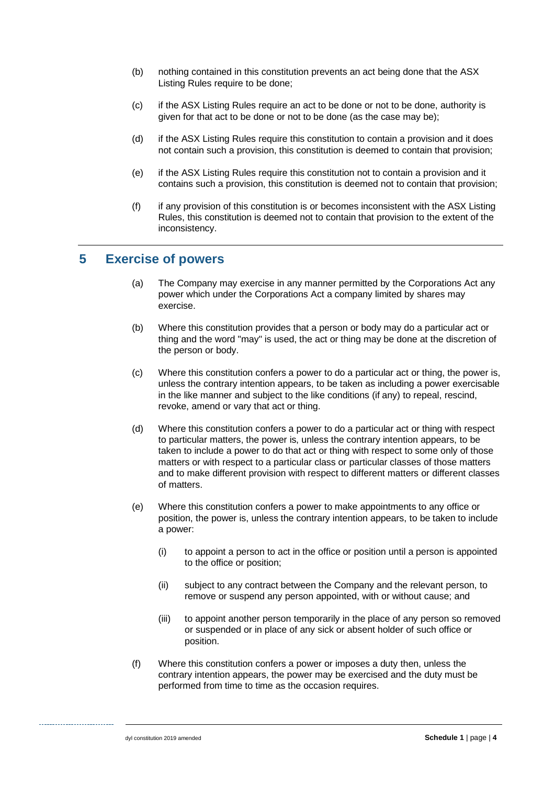- (b) nothing contained in this constitution prevents an act being done that the ASX Listing Rules require to be done;
- (c) if the ASX Listing Rules require an act to be done or not to be done, authority is given for that act to be done or not to be done (as the case may be);
- (d) if the ASX Listing Rules require this constitution to contain a provision and it does not contain such a provision, this constitution is deemed to contain that provision;
- (e) if the ASX Listing Rules require this constitution not to contain a provision and it contains such a provision, this constitution is deemed not to contain that provision;
- (f) if any provision of this constitution is or becomes inconsistent with the ASX Listing Rules, this constitution is deemed not to contain that provision to the extent of the inconsistency.

## **5 Exercise of powers**

- (a) The Company may exercise in any manner permitted by the Corporations Act any power which under the Corporations Act a company limited by shares may exercise.
- (b) Where this constitution provides that a person or body may do a particular act or thing and the word "may" is used, the act or thing may be done at the discretion of the person or body.
- (c) Where this constitution confers a power to do a particular act or thing, the power is, unless the contrary intention appears, to be taken as including a power exercisable in the like manner and subject to the like conditions (if any) to repeal, rescind, revoke, amend or vary that act or thing.
- (d) Where this constitution confers a power to do a particular act or thing with respect to particular matters, the power is, unless the contrary intention appears, to be taken to include a power to do that act or thing with respect to some only of those matters or with respect to a particular class or particular classes of those matters and to make different provision with respect to different matters or different classes of matters.
- (e) Where this constitution confers a power to make appointments to any office or position, the power is, unless the contrary intention appears, to be taken to include a power:
	- (i) to appoint a person to act in the office or position until a person is appointed to the office or position;
	- (ii) subject to any contract between the Company and the relevant person, to remove or suspend any person appointed, with or without cause; and
	- (iii) to appoint another person temporarily in the place of any person so removed or suspended or in place of any sick or absent holder of such office or position.
- (f) Where this constitution confers a power or imposes a duty then, unless the contrary intention appears, the power may be exercised and the duty must be performed from time to time as the occasion requires.